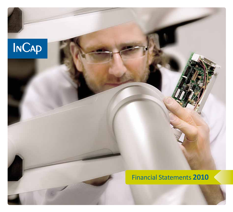

# Financial Statements **2010**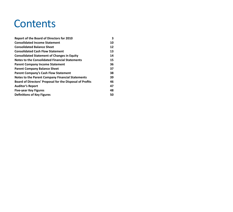# **Contents**

| <b>Report of the Board of Directors for 2010</b>         | 3  |
|----------------------------------------------------------|----|
| <b>Consolidated Income Statement</b>                     | 10 |
| <b>Consolidated Balance Sheet</b>                        | 12 |
| <b>Consolidated Cash Flow Statement</b>                  | 13 |
| <b>Consolidated Statement of Changes in Equity</b>       | 14 |
| <b>Notes to the Consolidated Financial Statements</b>    | 15 |
| <b>Parent Company Income Statement</b>                   | 36 |
| <b>Parent Company Balance Sheet</b>                      | 37 |
| <b>Parent Company's Cash Flow Statement</b>              | 38 |
| Notes to the Parent Company Financial Statements         | 39 |
| Board of Directors' Proposal for the Disposal of Profits | 46 |
| <b>Auditor's Report</b>                                  | 47 |
| <b>Five-year Key Figures</b>                             | 48 |
| <b>Definitions of Key Figures</b>                        | 50 |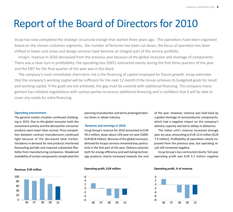# Report of the Board of Directors for 2010

Incap has now completed the strategic structural change that started three years ago. The operations have been organised based on the chosen customer segments, the number of factories has been cut down, the focus of operation has been shifted to lower-cost areas and design services have become an integral part of the service portfolio.

Incap's revenue in 2010 decreased from the previous year because of the global recession and shortage of components. There was a clear turn in profitability: the operating loss (EBIT) contracted evenly during the first three quarters of the year and the EBIT for the final quarter of the year was in the black.

The company's most remarkable short-term risk is the financing of capital employed for future growth. Incap estimates that the company's working capital will be sufficient for the next 12 month if the Group achieves its budgeted goals for result and working capital. If the goals are not achieved, the gap must be covered with additional financing. The company management has initiated negotiations with various parties to ensure additional financing and is confident that it will be able to cover any needs for extra financing.

#### **Operating environment**

The general market situation continued challenging in 2010. Due to the global recession both the investment activity and the demand for consumer products were lower than normal. Price competition between contract manufacturers continued tight because of the decreased total market. Variations in demand for end products shortened forecasting periods and required substantial flexibility from manufacturing companies. Weakened availability of certain components complicated the planning of production and led to prolonged delivery times in whole industry.

#### **Revenue and earnings in 2010**

Incap Group's revenue for 2010 amounted to EUR 59.2 million, down about 15% year-on-year (2009: EUR 69.8 million). Because of the global recession, demand for Incap's services remained low, particularly in the first part of the year. Delivery volumes both for energy efficiency and well-being technology products clearly increased towards the end of the year. However, revenue was held back by a global shortage of semiconductor components, which had a negative impact on the company's delivery capacity and led to delays in deliveries.

The Indian unit's revenue increased strongly year-on-year, amounting to EUR 12.0 million (EUR 7.9 million). Profitability of operations clearly improved from the previous year, but operating result still remained negative.

Incap Group's loss contracted clearly: full-year operating profit was EUR 3.2 million negative



## **Revenue, EUR million Operati ng profi t, EUR million Operati ng profi t, % of revenue**



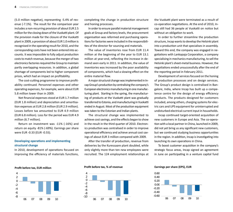(5.0 million negative), representing -5.4% of revenue (-7.1%). The result for the comparison year includes a non-recurring provision of about EUR 2.5 million for the closing down of the Vuokatti plant. Of the provision made for the closure of the Vuokatti plant in 2009, a provision of about EUR 1.0 million is recognised in the operating result for 2010, and the corresponding costs have not been entered into accounts. It was impossible to fully adjust production costs to match revenue, because the merger of two electronics factories required the Group to maintain partly overlapping resources. In addition, a global shortage of components led to higher component prices, which had an impact on profitability.

The cost-cutting programme to improve profitability continued. Personnel expenses and other operating expenses, for example, were about EUR 5.8 million lower than in 2009.

Net financial expenses stood at EUR 1.7 million (EUR 1.8 million) and depreciation and amortisation expenses at EUR 2.8 million (EUR 2.9 million). Losses before tax amounted to EUR 4.9 million (EUR 6.8 million). Loss for the period was EUR 4.9 million (6.7 million).

Return on investment was -11% (-16%) and return on equity -81% (-69%). Earnings per share were EUR -0.33 (EUR -0.55).

## **Developing operati ons and implementi ng structural change**

In 2010, development of operations focused on improving the efficiency of materials functions,

completing the change in production structure and honing processes.

In order to ensure parallel material management goals at Group and factory levels, the procurement organisation was reformed and purchasing operations for factories were included in the responsibilities of the director for sourcing and materials.

The value of inventories rose from EUR 11.4 million at the beginning of the year to EUR 13.1 million at year-end, reflecting the increase in demand seen early in 2011. In addition, the value of inventories was increased by the poor availability of components, which had a slowing effect on the entire material flow.

A major structural change was implemented in Incap Group's production by centralising the company's European electronics manufacturing in one manufacturing plant. Starting in the spring, the manufacturing of products at the Vuokatti plant was gradually transferred to Estonia, and manufacturing in Vuokatti ended in August. Most of the production equipment was taken to the Estonian and Indian plants.

The structural change was implemented to achieve cost savings, and the effects began to show in the result in the third quarter of 2010. Electronics production was centralised in order to improve operational efficiency and achieve annual cost savings of about EUR 3 million compared with 2009.

After the transfer of production, revenue from deliveries by the Kuressaare plant doubled, while only slightly more than ten new employees were recruited. The 124 employment relationships at the Vuokatti plant were terminated as a result of co-operation negotiations. At the end of 2010, Incap still had 36 people at Vuokatti on notice but without an obligation to work.

In order to further streamline the production structure, Incap wants to develop the Helsinki plant into a production unit that specialises in assembly. Toward this end, the company was engaged in negotiations with Lankapaja Corporation, a company specialising in mechanics manufacturing, to sell the Helsinki plant's sheet-metal business. However, the negotiations ended unsuccessfully after the end of the reporting period in February 2011.

Development of services focused on the honing of production processes and on design services. The Group's product design is centralised in Bangalore, India, where Incap has built up a competence centre for the design of energy efficiency products. The products designed for customers included, among others, charging systems for electric cars and UPS equipment for uninterrupted and undisturbed electrical current input in households.

Incap continued target-oriented acquisition of new customers in Europe and Asia. The co-operation with a local partner in China, launched in 2009, did not yet bring us any significant new customers, but we continued studying business opportunities in the region. In addition, Incap is investigating into launching its own operations in China.

To boost customer acquisition in the company's strategic focus areas, Incap signed an agreement in June on participating in a venture capital fund



# **Profit before tax, EUR million Profit before tax, % of revenue** *Earnings per share (EPS), EUR*



4

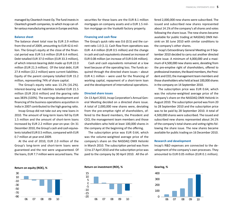managed by Cleantech Invest Oy. The fund invests in Cleantech growth companies, to which Incap can offer various manufacturing services in Europe and Asia.

#### **Balance sheet**

The balance sheet total rose by EUR 2.9 million from the end of 2009, amounting to EUR 42.6 million. The Group's equity at the close of the financial period was EUR 5.6 million (EUR 6.4 million). Debt totalled EUR 37.0 million (EUR 33.3 million), of which interest-bearing debt made up EUR 22.0 million (EUR 21.3 million). Of the total debt, EUR 27.4 million (22.2 million) were current liabilities. Equity of the parent company totalled EUR 15.2 million, representing 74% of share capital.

The Group's equity ratio was 13.2% (16.2%). Interest-bearing net liabilities totalled EUR 21.5 million (EUR 20.6 million) and the gearing rati<sup>o</sup> was 383% (320%). The earnings development and financing of the business operations acquisition in India in 2007 contributed to the high gearing ratio.

Incap Group did not take out any new loans in 2010. The amount of long-term loans fell by EUR 1.5 million and the amount of short-term loans increased by EUR 2.2 million year-on-year. On 31 December 2010, the Group's cash and cash equivalents totalled EUR 0.5 million, compared with EUR 0.7 million at year-end 2009.

At the end of 2010, EUR 2.0 million of the Group's long-term and short-term loans were guaranteed and the rest were unguaranteed. Of the loans, EUR 7.7 million were secured loans. The

securities for these loans are the EUR 8.1 million mortgages on company assets and a EUR 1.5 million mortgage on the Vuokatti factory property.

#### **Financing and cash flow**

The Group's quick ratio was  $0.6$  (0.5) and the current ratio 1.0 (1.1). Cash flow from operations was EUR -4.4 million (EUR 0.5 million) and the change in cash and cash equivalents showed an increase of EUR 0.08 million (an increase of EUR 0.04 million).

Cash and cash equivalents remained at a low level because of the operating loss. The funds acquired through the directed share issues – about EUR 4.1 million  $-$  were used for the financing of working capital, repayment of a short-term loan and the development of international operations.

#### **Directed share issues**

On 13 April 2010, Incap Corporation's Annual General Meeting decided on a directed share issue. A total of 2,000,000 new shares were, deviating from the pre-emptive right of shareholders, offered to the Board members, the President and CEO, the management team members and those shareholders who held at least 100,000 shares in the company at the beginning of the offering.

The subscription price was EUR 0.64, which was the volume-weighted average price of the company's share on the NASDAQ OMX Helsinki in March 2010. The subscription period was from 13 to 27 April 2010 and the subscription price was paid to the company by 30 April 2010. All the offered 2,000,000 new shares were subscribed. The<br>issued and subscribed new shares represented<br>about 14.1% of the company's all shares and votes<br>following the share issue. The new shares became<br>available for public trading a sinki on 30 June 2010 with similar conditions to the company's other shares.

Incap's Extraordinary General Meeting on 9 September 2010 decided to carry out another directed share issue. A minimum of 4,000,000 and a maxi mum of 4,500,000 new shares were, deviating from<br>the pre-emptive right of shareholders, offered to<br>professional investors, the Board members, the President and CEO, the management team members and those shareholders who held at least 100,000 shares in the company on 14 September 2010.

The subscription price was EUR 0.64, which<br>was the volume-weighted average price of the<br>company's share on the NASDAQ OMX Helsinki in<br>August 2010. The subscription period was from 20<br>to 28 September 2010 and the subscripti lowing the share issue. The new shares became available for public trading on 16 December 2010.

#### **Research and development**

Incap's R&D expenses are connected to the de velopment of the company's own processes. They amounted to EUR 0.05 million (EUR 0.1 million).





**Return on equity (ROE), % Return on investment (ROI), % Gearing, %**



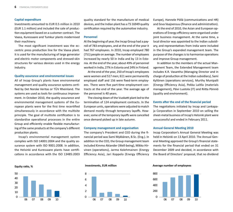#### **Capital expenditure**

Investments amounted to EUR 0.5 million in 2010 (EUR 1.1 million) and included the sale of production equipment based on a customer contract. The Vaasa, Kuressaare and Tumkur plants modernised their machinery.

The most significant investment was the eccentric press production line for the Vaasa plant. It is used for the manufacturing of large generator and electric motor components and stressed-skin structures for various devices used in the energy industry.

#### **Quality assurance and environmental issues**

All of Incap Group's plants have environmental management and quality assurance systems certified by Det Norske Veritas or TÜV Rheinland. The systems are used as tools for continuous improvement. In October 2010, the quality assurance and environmental management systems of the European plants were for the first time recertified simultaneously in accordance with the multisite principle. The goal of multisite certification is to standardise operational processes in the entire Group and efficiently enable flexible manufacturing of the same products at the company's different production plants.

Incap's environmental management system complies with ISO 14001:2004 and the quality assurance system with ISO 9001:2008. In addition, the Helsinki and Kuressaare plants have certifications in accordance with the ISO 13485:2003 quality standard for the manufacture of medical devices, and the Indian plant has a TS 16949 quality certification required by the automotive industry.

#### **Personnel**

At the beginning of year, the Incap Group had a payroll of 783 employees, and at the end of the year it had 767 employees. In 2010, Incap employed 780 (751) people on average. The number of employees increased by nearly 50 in India and by 13 in Estonia. At the end of the year, about 49% of personnel worked in India, 27% in Estonia and 24% in Finland.

At the end of the year, 250 of Incap's employees were women and 517 men; 611 were permanently employed staff and 156 were fixed-term employees. There were five part-time employment contracts at the end of the year. The average age of the personnel is 40 years.

The closing down of the Vuokatti plant led to the termination of 124 employment contracts. In the European units, operations were adjusted to match demand mostly through temporary layoffs. However, some of the temporary layoffs were cancelled once demand picked up in late autumn.

#### **Company management and organisati on**

The company's President and CEO during the financial period was Sami Mykkänen, B.Sc. (Eng.). In addition to the CEO, the Group management team included Kimmo Akiander (Well-being), Mikko Hirvinen (operations), Jarmo Kolehmainen (Energy Efficiency Asia), Jari Koppelo (Energy Efficiency Europe), Hannele Pöllä (communications and HR) and Eeva Vaajoensuu (finance and administration).

At the end of 2010, the Asian and European operations of Energy efficiency were organised under joint business management. At the same time, a local director was appointed to the Indian subsidiary, and representatives from India were included in the Group's expanded management team. The purpose of the changes is to harmonise operations and improve Group management.

In addition to the members of the actual Management Team, the Extended Management team includes K.R. Vasantha (Managing Director and in charge of production at the Indian subsidiary), Sami Kyllönen (operations services), Murthy Munipalli (Energy Efficiency Asia), Pekka Laitila (materials management), Päivi Luotola (IT) and Riitta Pönniö (quality and environment).

#### **Events after the end of the financial period**

The negotiations initiated by Incap and Lankapaja Corporation in September 2010 on selling the sheet-metal business of Incap's Helsinki plant were unsuccessful and ended in February 2011.

#### **Annual General Meeting 2010**

Incap Corporation's Annual General Meeting was held in Helsinki on 13 April 2010. The Annual General Meeting approved the Group's financial statements for the financial period that ended on 31 December 2009 and decided, in accordance with the Board of Directors' proposal, that no dividend





**Equity rati o, % Investments, EUR million Average number of employees**

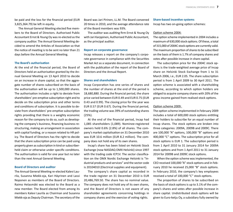be paid and the loss for the financial period (EUR 3,825,364.79) be left in equity.

The Annual General Meeting elected five members to the Board of Directors. Authorised Public Accountant Ernst & Young Oy was re-elected as the company auditor. The Annual General Meeting decided to amend the Articles of Association so that the notice of meeting is to be sent no later than 21 days before the Annual General Meeting.

#### **The Board's authorisati on**

At the end of the financial period, the Board of Directors held an authorisation granted by the Annual General Meeting on 13 April 2010 to decide on an increase in share capital, so that the aggregate number of shares subscribed on the basis of the authorisation will be up to  $1,500,000$  shares. The authorisation includes a right to deviate from shareholders' pre-emptive subscription right and to decide on the subscription price and other terms and conditions of subscription. It is possible to deviate from shareholders' pre-emptive subscription rights providing that there is a weighty economic reason for the company to do so, such as developing the company's business, financing business restructuring, making an arrangement in association with capital funding, or a reason related to HR policy. The Board of Directors has the right to decide that the share subscription price can be paid using property given as subscription in kind or subscriberheld claim or otherwise under specific conditions. The authorisation is valid for one year but no later than the next Annual General Meeting.

#### **Board of Directors and auditor**

The Annual General Meeting re-elected Kalevi Laurila, Susanna Miekk-oja, Kari Häyrinen and Lassi Noponen as members of the Board of Directors. Raimo Helasmäki was elected to the Board as a new member. The Board elected from among its members Kalevi Laurila as Chairman and Susanna Miekk-oja as Deputy Chairman. The secretary of the

Board was Jari Pirinen, LL.M. The Board convened 20 times in 2010, and the average attendance rate of the Board members was 93%.

The auditor was auditing firm Ernst & Young Oy with Jari Karppinen, Authorised Public Accountant, as the principal auditor.

#### **Report on corporate governance**

Incap releases a report on the company's corporate governance in compliance with the Securities Market Act as a separate document, in connection with the publication of the report of the Board of Directors and the Annual Report.

#### **Shares and shareholders**

Incap Corporation has one series of shares and the number of shares at the end of the period is 18,680,880. During the financial period, the share price varied between EUR 0.49 and EUR 0.75 (EUR 0.43 and 0.99). The closing price for the year was EUR 0.57 (EUR 0.67). During the financial period, the trading volume was 39% of outstanding shares (25%).

At the end of the financial period, Incap had 1,085 shareholders (1,089). Nominee-registered owners held 0.6% (2.8%) of all shares. The company's market capitalisation on 31 December 2010 was EUR 10.6 million (EUR 8.2 million). The company does not hold any of its own shares.

Incap's share has been listed on Helsinki Stock Exchange (now NASDAQ OMX Helsinki) since 1997 with the trading code ICP1V. The sector classification on the OMX Nordic Exchange Helsinki is "Industrial products and services" and the sector code is 20104010 (Electrical supplies and equipment).

The company's share capital as recorded in the trade register on 31 December 2010 is EUR 20,486,769.50. The share has no nominal value. The company does not hold any of its own shares, and the Board of Directors is not aware of any shareholder agreements concerning holdings in company shares and the exercise of voting rights.

#### **Share-based incentive systems**

Incap has two on-going option schemes:

#### Option scheme 2004:

The option scheme implemented in 2004 includes a maximum of 630,000 stock options. Of these, a total of 315,000 of 2004C stock options are currently valid. The maximum proportion of shares to be subscribed on the basis of them is 1.7% of company shares and votes after possible increase in share capital.

The subscription price for the 2004C stock options is the trade-weighted average price of Incap share on Helsinki Stock Exchange from 1 to 31 March 2006, i.e., EUR 2.05. The share subscription period is from 1 April 2009 to 30 April 2011. The option scheme is associated with a shareholding scheme, according to which option holders are obliged to acquire company shares with 20% of the gross income gained from realised stock options.

#### Option scheme 2009:

The option scheme implemented in February 2009 includes a total of 600,000 stock options entitling their holders to subscribe for an equal number of Incap shares. The stock options are broken into three categories: 2009A, 2009B and 2009C. There are 100,000 "A" options, 100,000 "B" options and 400,000 "C" options. The subscription price for all stock options is EUR 1. The subscription period is from 1 April 2010 to 31 January 2014 for 2009A stock options and from 1 April 2011 to 31 January 2014 for 2009B and 2009C stock options.

When the option scheme was implemented, the CEO received 100,000 "A" stock options and in February 2010 he received 25,000 "B" stock options. In February 2010, the company's key employees received a total of 100,000 "C" stock options.

The proportion of shares to be subscribed on the basis of stock options is up to 3.1% of the company's shares and votes after possible increase in share capital. Undistributed stock options will be given to Euro-ketju Oy, a subsidiary fully owned by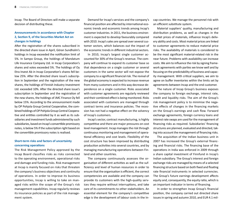Incap. The Board of Directors will make a separate decision of distributing these.

# **Announcements in accordance with Chapter 2, Secti on 9, of the Securiti es Market Act on changes in holdings**

After the registration of the shares subscribed in the directed share issue in April, Göran Sundholm's holdings in Incap exceeded the notification limit of 5%. In Sampo Group, the holdings of Mandatum Life Insurance Company Ltd. in Incap Corporation's shares and votes exceeded 5%. The holdings of Oy Etra Invest Ab in Incap Corporation's shares fell below 25%. After the directed share issue's subscription in September and the registration of the new shares, the holdings of Finnish Industry Investment Ltd. exceeded 10%. After the directed share issue's subscription in September and the registration of the new shares, the holdings of JMC Finance Oy fell below 15%. According to the announcement made by OP Pohjola Group Central Cooperative, the combined holdings of OP Pohjola Group Central Cooperative and entities controlled by it as well as its subsidiaries and investment funds administered by such subsidiaries, based on Incap's convertible promissory notes, is below 5% if the subscription right based on the convertible promissory notes is realised.

# **Short-term risks and factors of uncertainty concerning operati ons**

The Risk Management Policy approved by the Incap Board classifies risks as risks connected to the operating environment, operational risks and damage and funding risks. Risk management at Incap is mainly focused on risks that threaten the company's business objectives and continuity of operations. In order to improve its business opportunities, Incap is willing to take on managed risks within the scope of the Group's risk management capabilities. Incap regularly reviews its insurance policies as part of the risk management system.

Demand for Incap's services and the company's financial position are affected by international economic trends and economic trends among Incap's customer industries. In 2011, the business environment is expected to develop favourably compared with 2010. Incap's sales are spread over several customer sectors, which balances out the impact of the economic trends in different industrial sectors.

In 2010, Incap's largest single customer accounted for 30% of the Group's revenue. The company will continue to expand its customer base so that dependence on a single customer or several customers in the same sector will not expose the company to a significant financial risk. The revival of the global economy is expected to increase revenue from many customers and in this way decrease dependence on a single customer. Risks associated with customer agreements are regularly reviewed and their combined effect is being monitored. Risks associated with customers are managed through contract terms and insurance policies. The recession has not had a negative effect on the solvency of Incap's customers.

Incap's sector, contract manufacturing, is highly competitive and there are major pressures on cost level management. Incap manages the risk through continuous monitoring and management of operational efficiency and cost levels. Flexibility of the cost structure has been improved by distributing production activities into several countries, and by managing manufacturing operations between Finland and other countries.

The company continuously assesses the organisation of different activities as well as the sufficiency and level of human resources in order to ensure that the organisation is efficient, the correct competencies are available and the company can provide its customers with the high-quality services they require without interruptions, and take care of its commitments to other stakeholders. An essential element for the company's competitive edge is the development of labour costs in the In-

cap countries. We manage the personnel risk with<br>an efficient substitute system.<br>Material suppliers' quality, manufacturing and<br>distribution problems, as well as changes in the<br>market prices of materials, influence lncap's ery ability and costs. Most material prices are linked<br>to customer agreements to reduce material price<br>risks. The availability of materials is considered to<br>be the most significant material-related risk in the<br>near future. work agreements with parties we know well and by focusing on the predictability of business and capac-

ity management. With critical suppliers, we aim to<br>agree on buffer inventories within the limits set by<br>agreements between Incap and the end customer.<br>The nature of Incap Group's business exposes<br>the company to foreign exc tive effects of changes in the financing markets<br>on the Group's earnings and cash flow. Forward<br>exchange agreements, foreign currency loans and<br>interest rate swaps are used for the management of<br>financing risks as required

ing into account the management of financing risks.<br>The acquisition of the Indian business unit in<br>2007 has increased the Group's external financing and financial risks. The financing base of the<br>operations in India was enforced in 2009 through<br>a share capital investment of Finnfund in Incap's<br>Indian subsidiary. The Group's interest and foreign<br>exchange risks are m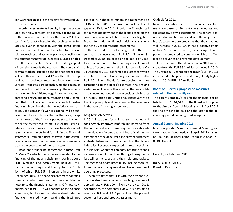lion were recognised in the reserve for invested unrestricted equity.

In order to estimate its liquidity Incap has drawn up a cash flow forecast by quarter, expanding up to the financial statements for the year 2011. The cash flow forecast is based on the result estimate for 2011 as given in connection with the consolidated financial statements and on the actual turnover of sales receivables and accounts payable, as well as on the targeted turnover of inventories. Based on this cash flow forecast, Incap's need for working capital is increasing towards the year end. The company's existing working capital on the balance sheet date will be sufficient for the next 12 months if the Group achieves its budgeted result and inventory turnover rate. If the goals are not achieved, the gap must be covered with additional financing. The company management has initiated negotiations with various parties to ensure additional financing and is confident that it will be able to cover any needs for extra financing. Providing that the negotiations are successful, the company's working capital will be sufficient for the next 12 months. Furthermore, Incap has at the end of the financial period started actions to sell the factory real estate in Vuokatti. Real estate and the loans related to it have been described as non-current assets held-for-sale in the financial statements. Estimated price as given in the certificate of valuation of an external surveyor exceeds clearly the book value of the real estate.

Incap has a financing agreement in force until 31 May 2012 which covers the loans related to the financing of the Indian subsidiary (totalling about EUR 5.6 million) and Incap's credit line (EUR 1 million) and a factoring credit line (up to EUR 7 million), of which EUR 5.5 million were in use on 31 December 2010. The financing agreement contains covenants, which are described more in detail in note 26 to the financial statements. Of these covenants, net IBD/EBITDA was not met on the balance sheet date, but before the balance sheet date the financier informed Incap in writing that it will not exercise its right to terminate the agreement on 31 December 2010. The covenants will be tested again on 30 June 2011. Should the financier call for immediate payment of the loans based on the covenants, Incap is not able to meet the obligation. More information on financing risks is available in the note 26 to the financial statements.

The deferred tax assets recognised in the consolidated balance sheet (EUR 4.2 million on 31 December 2010) are based on the Board of Directors' assessment of future earnings development at Incap Corporation and the Indian subsidiary. On 31 December 2010, confirmed tax losses for which no deferred tax asset was recognised amounted to EUR 8.0 million. Should future development not correspond to the Board's estimate, the ensuing write-down of deferred tax assets in the consolidated balance sheet would have a considerable impact on Incap Group's equity ratio and, consequently, on the Group's equity and, for example, the covenants in the above financing agreements.

#### Long-term objectives

In 2011, Incap aims for an increase in revenue and considerably improved profitability. Demand from the company's key customer segments is anticipated to develop favourably, and Incap is aiming to extend the scope of deliveries to current customers and establish new customer accounts in the chosen industries. Revenue is expected to grow most vigorously in Asia, where the company intends to expand its business into China. The offering of design services will be increased and their role emphasised. The means to boost profitability include more efficient material management and harmonisation of operating processes.

Incap estimates that it is with the present production structure capable of reaching revenue of approximately EUR 100 million by the year 2015. According to the company's view it is possible to reach an EBIT level of 4–6 percent with the present customer base and product assortment.

#### Outlook for 2011

Incap's estimates for future business development are based on its customers' forecasts and the company's own assessments. The general economic situation has improved, and the majority of Incap's customers are predicting that their revenue will increase in 2011, which has a positive effect on Incap's revenue. However, the shortage of components is predicted to continue, which can affect Incap's deliveries and revenue development.

Incap estimates that its revenue in 2011 will increase from the EUR 59.2 million achieved in 2010. The Group's full-year operating result (EBIT) in 2011 is expected to be positive and, thus, clearly higher than in 2010 (EUR -3.2 million).

# **Board of Directors' proposal on measures related to the net profit/loss**

The parent company's loss for the financial period totalled EUR 1,561,513.95. The Board will propose to the Annual General Meeting on 13 April 2011 that no dividend be paid and the loss for the accounting period be recognised in equity.

#### **Annual General Meeting 2011**

Incap Corporation's Annual General Meeting will take place on Wednesday 13 April 2011 starting at 3:00 p.m. at Hotel Kämp, Pohjoisesplanadi 29, 00100 Helsinki.

Helsinki, 22 February 2011

INCAP CORPORATIONBoard of Directors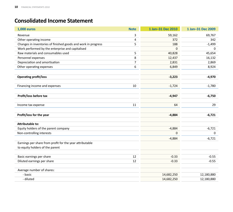# **Consolidated Income Statement**

| <b>1,000 euros</b>                                            | <b>Note</b> | 1 Jan-31 Dec 2010 | 1 Jan-31 Dec 2009 |
|---------------------------------------------------------------|-------------|-------------------|-------------------|
| Revenue                                                       | 3           | 59,162            | 69,767            |
| Other operating income                                        | 4           | 372               | 342               |
| Changes in inventories of finished goods and work in progress | 5           | 188               | $-1,499$          |
| Work performed by the enterprise and capitalised              |             | $\Omega$          | $\Omega$          |
| Raw materials and consumables used                            | 5           | 40,828            | 45,654            |
| Personnel expenses                                            | 8           | 12,437            | 16,132            |
| Depreciation and amortisation                                 | 7           | 2,831             | 2,869             |
| Other operating expenses                                      | 6           | 6,849             | 8,924             |
|                                                               |             |                   |                   |
| <b>Operating profit/loss</b>                                  |             | $-3,223$          | $-4,970$          |
| Financing income and expenses                                 | 10          | $-1,724$          | $-1,780$          |
|                                                               |             |                   |                   |
| Profit/loss before tax                                        |             | $-4,947$          | $-6,750$          |
| Income tax expense                                            | 11          | 64                | 29                |
|                                                               |             |                   |                   |
| Profit/loss for the year                                      |             | $-4,884$          | $-6,721$          |
| <b>Attributable to:</b>                                       |             |                   |                   |
| Equity holders of the parent company                          |             | $-4,884$          | $-6,721$          |
| Non-controlling interests                                     |             | $\Omega$          | $\Omega$          |
|                                                               |             | $-4,884$          | $-6,721$          |
| Earnings per share from profit for the year attributable      |             |                   |                   |
| to equity holders of the parent                               |             |                   |                   |
| Basic earnings per share                                      | 12          | $-0.33$           | $-0.55$           |
|                                                               |             |                   |                   |
| Diluted earnings per share                                    | 12          | $-0.33$           | $-0.55$           |
| Average number of shares:                                     |             |                   |                   |
| - basic                                                       |             | 14,682,250        | 12,180,880        |
| - diluted                                                     |             | 14,682,250        | 12,180,880        |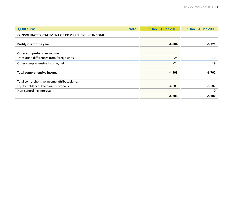| <b>1,000 euros</b>                                    | <b>Note</b> | 1 Jan-31 Dec 2010 | 1 Jan-31 Dec 2009 |
|-------------------------------------------------------|-------------|-------------------|-------------------|
| <b>CONSOLIDATED STATEMENT OF COMPREHENSIVE INCOME</b> |             |                   |                   |
|                                                       |             |                   |                   |
| Profit/loss for the year                              |             | $-4,884$          | $-6,721$          |
|                                                       |             |                   |                   |
| Other comprehensive income:                           |             |                   |                   |
| Translation differences from foreign units            |             | $-24$             | 19                |
| Other comprehensive income, net                       |             | $-24$             | 19                |
|                                                       |             |                   |                   |
| <b>Total comprehensive income</b>                     |             | $-4,908$          | $-6,702$          |
|                                                       |             |                   |                   |
| Total comprehensive income attributable to:           |             |                   |                   |
| Equity holders of the parent company                  |             | $-4,908$          | $-6,702$          |
| Non-controlling interests                             |             |                   | 0                 |
|                                                       |             | $-4,908$          | -6,702            |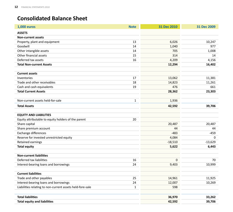# **Consolidated Balance Sheet**

| <b>1,000 euros</b>                                        | <b>Note</b>  | 31 Dec 2010  | 31 Dec 2009 |
|-----------------------------------------------------------|--------------|--------------|-------------|
| <b>ASSETS</b>                                             |              |              |             |
| <b>Non-current assets</b>                                 |              |              |             |
| Property, plant and equipment                             | 13           | 6,026        | 10,247      |
| Goodwill                                                  | 14           | 1,040        | 977         |
| Other intangible assets                                   | 14           | 705          | 1,008       |
| Other financial assets                                    | 15           | 314          | 14          |
| Deferred tax assets                                       | 16           | 4,209        | 4,156       |
| <b>Total Non-current Assets</b>                           |              | 12,294       | 16,402      |
|                                                           |              |              |             |
| <b>Current assets</b>                                     |              |              |             |
| Inventories                                               | 17           | 13,062       | 11,381      |
| Trade and other receivables                               | 18           | 14,823       | 11,261      |
| Cash and cash equivalents                                 | 19           | 476          | 661         |
| <b>Total Current Assets</b>                               |              | 28,362       | 23,303      |
|                                                           |              |              |             |
| Non-current assets held-for-sale                          | $\mathbf{1}$ | 1,936        |             |
| <b>Total Assets</b>                                       |              | 42,592       | 39,706      |
|                                                           |              |              |             |
| <b>EQUITY AND LIABILITIES</b>                             |              |              |             |
| Equity attributable to equity holders of the parent       | 20           |              |             |
| Share capital                                             |              | 20,487       | 20,487      |
| Share premium account                                     |              | 44           | 44          |
| Exchange differences                                      |              | $-483$       | $-459$      |
| Reserve for invested unrestricted equity                  |              | 4,084        | 0           |
| Retained earnings                                         |              | $-18,510$    | $-13,629$   |
| <b>Total equity</b>                                       |              | 5,622        | 6,443       |
|                                                           |              |              |             |
| <b>Non-current liabilities</b>                            |              |              |             |
| Deferred tax liabilities                                  | 16           | $\mathbf{0}$ | 70          |
| Interest-bearing loans and borrowings                     | 24           | 9,403        | 10,999      |
|                                                           |              |              |             |
| <b>Current liabilities</b>                                |              |              |             |
| Trade and other payables                                  | 25           | 14,961       | 11,925      |
| Interest-bearing loans and borrowings                     | 24           | 12,007       | 10,269      |
| Liabilities relating to non-current assets held-fore-sale | $\mathbf{1}$ | 598          |             |
|                                                           |              |              |             |
| <b>Total liabilities</b>                                  |              | 36,970       | 33,262      |
| <b>Total equity and liabilities</b>                       |              | 42,592       | 39,706      |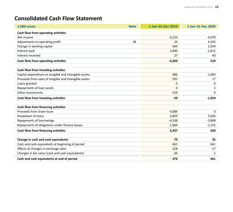# **Consolidated Cash Flow Statement**

| <b>1,000 euros</b>                                    | <b>Note</b> | 1 Jan-31 Dec 2010 | 1 Jan-31 Dec 2009 |
|-------------------------------------------------------|-------------|-------------------|-------------------|
| Cash flow from operating activities                   |             |                   |                   |
| Net income                                            |             | $-3,223$          | $-4,970$          |
| Adjustments to operating profit                       | 28          | 23                | 4,342             |
| Change in working capital                             |             | 644               | 2,929             |
| Interest paid                                         |             | $-1,840$          | $-1,812$          |
| Interest received                                     |             | 27                | 40                |
| Cash flow from operating activities                   |             | $-4,369$          | 529               |
| Cash flow from investing activities                   |             |                   |                   |
| Capital expenditure on tangible and intangible assets |             | $-486$            | $-1,064$          |
| Proceeds from sales of tangible and intangible assets |             | 591               | 17                |
| Loans granted                                         |             | $-5$              | -9                |
| Repayments of loan assets                             |             | 0                 | 2                 |
| Other investments                                     |             | $-159$            | $\Omega$          |
| Cash flow from investing activities                   |             | $-59$             | $-1,054$          |
|                                                       |             |                   |                   |
| Cash flow from financing activities                   |             |                   |                   |
| Proceeds from share issue                             |             | 4,084             | 0                 |
| Drawdown of loans                                     |             | 5,825             | 5,683             |
| Repayments of borrowings                              |             | $-4,338$          | $-3,868$          |
| Repayments of obligations under finance leases        |             | $-1,064$          | $-1,255$          |
| Cash flow from financing activities                   |             | 4,507             | 560               |
|                                                       |             |                   |                   |
| Change in cash and cash equivalents                   |             | 79                | 35                |
| Cash and cash equivalents at beginning of period      |             | 661               | 641               |
| Effects of changes in exchange rates                  |             | $-228$            | $-17$             |
| Changes in fair value (cash and cash equivalents)     |             | $-36$             | 2                 |
| Cash and cash equivalents at end of period            |             | 476               | 661               |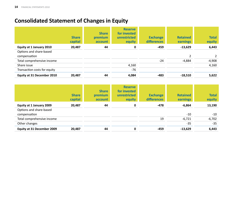# **Consolidated Statement of Changes in Equity**

|                              | <b>Share</b><br>capital | <b>Share</b><br>premium<br>account | <b>Reserve</b><br>for invested<br>unrestricted<br>equity | <b>Exchange</b><br>differences | <b>Retained</b><br>earnings | <b>Total</b><br>equity |
|------------------------------|-------------------------|------------------------------------|----------------------------------------------------------|--------------------------------|-----------------------------|------------------------|
| Equity at 1 January 2010     | 20,487                  | 44                                 | 0                                                        | -459                           | $-13,629$                   | 6,443                  |
| Options and share-based      |                         |                                    |                                                          |                                |                             |                        |
| compensation                 |                         |                                    |                                                          |                                | 2                           |                        |
| Total comprehensive income   |                         |                                    |                                                          | $-24$                          | $-4,884$                    | $-4,908$               |
| Share issue                  |                         |                                    | 4,160                                                    |                                |                             | 4,160                  |
| Transaction costs for equity |                         |                                    | $-76$                                                    |                                |                             |                        |
| Equity at 31 December 2010   | 20,487                  | 44                                 | 4,084                                                    | -483                           | $-18,510$                   | 5,622                  |

|                            | <b>Share</b><br>capital | <b>Share</b><br>premium<br>account | <b>Reserve</b><br>for invested<br>unrestricted<br>equity | <b>Exchange</b><br>differences | <b>Retained</b><br>earnings | <b>Total</b><br>equity |
|----------------------------|-------------------------|------------------------------------|----------------------------------------------------------|--------------------------------|-----------------------------|------------------------|
| Equity at 1 January 2009   | 20,487                  | 44                                 | 0                                                        | -478                           | $-6,864$                    | 13,190                 |
| Options and share-based    |                         |                                    |                                                          |                                |                             |                        |
| compensation               |                         |                                    |                                                          |                                | $-10$                       | $-10$                  |
| Total comprehensive income |                         |                                    |                                                          | 19                             | $-6,721$                    | $-6,702$               |
| Other changes              |                         |                                    |                                                          |                                | $-35$                       | $-35$                  |
| Equity at 31 December 2009 | 20,487                  | 44                                 | 0                                                        | $-459$                         | $-13,629$                   | 6,443                  |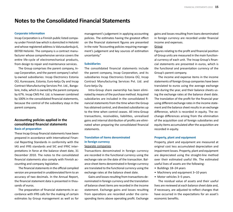# **Notes to the Consolidated Financial Statements**

#### **Corporate informati on**

Incap Corporation is a Finnish public listed company under Finnish law which is domiciled in Helsinki and whose registered address is Valuraudankuja 6, 00700 Helsinki. The company is a contract manufacturer whose comprehensive service covers the entire life-cycle of electromechanical products, from design to repair and maintenance services.

The Group comprises the parent company, Incap Corporation, and the parent company's wholly-owned subsidiaries: Incap Electronics Estonia OÜ, Kuressaare, Estonia; Euro-ketju Oy and Incap Contract Manufacturing Services Pvt. Ltd., Bangalore, India, which is owned by the parent company by 67%. Incap CMS Pvt. Ltd. is however combined by 100% in the consolidated financial statements, because the control of the subsidiary stays in the parent company.

# **Accounti ng policies applied in the consolidated fi nancial statementsBasis of preparati on**

These Incap Group financial statements have been prepared in accordance with International Financial Reporting Standards in conformity with the IAS and IFRS standards and SIC and IFRIC interpretations in force at the balance sheet date, 31 December 2010. The notes to the consolidated financial statements also comply with Finnish accounting and company legislation.

The financial statements in the official compiled version are presented in unabbreviated form to an accuracy of two decimals. In the Annual Report, the financial statement data is presented in thousands of euros.

The preparation of financial statements in accordance with IFRS calls for the making of certain estimates by Group management as well as for

management's judgement in applying accounting policies. The estimates having the greatest effect on the financial statement figures are presented in the note "Accounting policies requiring management's judgement and key sources of estimation uncertainty."

#### **Subsidiaries**

The consolidated financial statements include the parent company, Incap Corporation, and its subsidiaries Incap Electronics Estonia OÜ, Incap Contract Manufacturing Services Pvt. Ltd. and Euro-ketju Oy.

Intra-Group share ownership has been eliminated by means of the purchase method. Acquired subsidiaries are included in the consolidated financial statements from the time when the Group has obtained control, and divested subsidiaries up to the time when control ceases. All intra-Group transactions, receivables, liabilities, unrealised gains and internal distribution of profits are eliminated when preparing the consolidated financial statements.

# **Translati on of items denominated in foreign currency** Separate companies

Transactions denominated in foreign currency are recorded in the functional currency using the exchange rate on the date of the transaction. Balance sheet items denominated in foreign currency are translated to the functional currency using the exchange rates at the balance sheet date.

Gains and losses resulting from transactions denominated in foreign currency and the translation of balance sheet items are recorded in the income statement. Exchange gains and losses resulting from operations are recorded under the corresponding items above operating profit. Exchange gains and losses resulting from loans denominated in foreign currency are recorded under financial income and expenses.

## Group

Figures relating to the profit and financial position of Group units are measured in the main functional currency of each unit. The Incap Group's financial statements are presented in euros, which is the functional and presentation currency of the Group's parent company.

The income and expense items in the income statements of foreign Group companies have been translated to euros using the average exchange rate during the year, and their balance sheets using the exchange rates at the balance sheet date. The translation of the profit for the financial year using different exchange rates in the income statement and the balance sheet results in an exchange difference, which is recorded in equity. The exchange differences arising from the elimination of the acquisition cost of foreign subsidiaries and equity items accumulated after the acquisition are recorded in equity.

#### **Property, plant and equipment**

Property, plant and equipment are measured at original cost less accumulated depreciation and impairment losses. Property, plant and equipment are depreciated using the straight-line method over their estimated useful life. The estimated useful lives of assets are the following:

- Buildings 18–24 years
- Machinery and equipment 3–10 years
- Motor vehicles 3–5 years.

The residual value of assets and their useful lives are reviewed at each balance sheet date and, if necessary, are adjusted to reflect changes that have occurred in the expectations for an asset's economic benefits.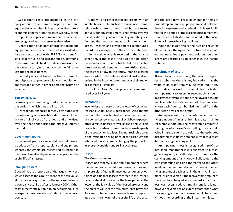Subsequent costs are included in the carrying amount of an item of property, plant and equipment only when it is probable that future economic benefits from the asset will flow to the Group. Other repair and maintenance expenses are recognised as an expense as they arise.

Depreciation of an item of property, plant and equipment ceases when the asset is classified as for sale in accordance with IFRS 5 Non-current Assets Held for Sale and Discontinued Operations. Non-current assets held for sale are measured at the lower by carrying amount or by the fair value less the selling expenses.

Capital gains and losses on the retirements and disposals of property, plant and equipment are recorded either in other operating income or expenses.

#### **Borrowing costs**

Borrowing costs are recognised as an expense in the period in which they are incurred.

Transaction expenses directly attributable to the obtaining of convertible debt are included in the original cost of the debt and amortised over the debt period using the effective interest method.

#### **Government grants**

Government grants are recorded on a net basis as a deduction from property, plant and equipment, whereby the grants are recognised as income in the form of smaller depreciation charges over the useful life of an asset.

#### **Intangible assets**

Goodwill is the proportion of the acquisition cost which exceeds the Group's share of the fair value, at the date of acquisition, of the net asset value of a company acquired after 1 January 2004. Other costs directly attributable to an acquisition, such as experts' fees, are also included in the acquisition cost.

Goodwill and other intangible assets with an indefinite useful life, such as the value of customer relationships, are not amortised but are tested annually for any impairment. The testing involves the allocation of goodwill to units generating cash flow and the measurement at cost less impairment losses. Research and development expenditure is recorded as an expense in the income statement.

An intangible asset is recorded in the balance sheet only if the cost of the asset can be determined reliably and it is probable that the expected future economic benefits that are attributable to the asset will flow to the entity. Intangible assets are recorded in the balance sheet at cost and amortised in the income statement over their known or estimated useful life.

The Incap Group's intangible assets are amortised over 3-5 years.

#### **Inventories**

Inventories are measured at the lower of cost or net realisable value. Cost is determined using the fifo method. The cost of finished and semi-finished products comprises raw materials, direct labour expenses, other direct expenses as well as fixed and variable production overheads, based on the normal capacity of the production facilities. The net realisable value is the estimated selling price of the asset less the estimated costs incurred in bringing the product to its present condition and selling expenses.

#### **Leases**

#### The Group as lessee

Leases of property, plant and equipment where the lessee bears the risks and rewards of ownership are classified as finance leases. An asset obtained on a finance lease is recorded in the lessee's balance sheet at the start of the lease period at the lower of the fair value of the leased property and the present value of the minimum lease payment. An asset obtained on a finance lease is depreciated over the shorter of the useful life of the asset and the lease term. Lease payments for items of property, plant and equipment are split between financial expenses and a reduction in lease liabilities for the period of the lease finance agreement. Finance lease liabilities are included in the Incap Group's interest-bearing liabilities.

When the lessor retains the risks and rewards of ownership, the agreement is treated as an operating lease. Lease payments paid on operating leases are recorded as an expense in the income statement.

#### **Impairment of assets**

At each balance sheet date, the Incap Group assesses whether there is any indication that the value of an asset item may be impaired. If any such indication exists, the asset item is tested for impairment to assess its recoverable amount. Impairment testing is done at the lowest possible unit level which is independent of other units and whose cash flows can be distinguished from the other cash flows of the entity.

An impairment loss is recorded when the carrying amount of an asset item is greater than its recoverable amount. The recoverable amount is the higher of an asset's net selling price and its value in use. Value in use refers to the estimated discounted cash flows obtainable from said asset item or cash-generating unit.

An impairment loss is recognised in profit or loss. If an impairment loss is allocated to a cashgenerating unit, it is allocated first to reduce the carrying amount of any goodwill allocated to the cash-generating unit and thereafter to the other assets of the unit pro rata on the basis of the carrying amount of each asset in the unit. An impairment loss is reversed if the recoverable amount of the asset has changed since the last impairment loss was recognised. An impairment loss is not, however, reversed to an extent greater than what the carrying amount of the asset would have been without the recording of the impairment loss.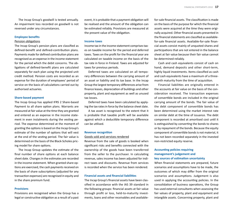The Incap Group's goodwill is tested annually. An impairment loss recorded on goodwill is not reversed under any circumstances.

#### **Employee benefits**

#### Pension obligations

The Incap Group's pension plans are classified as defined-benefit and defined-contribution plans. Payments made for defined contribution plans are recognised as an expense in the income statement for the period which the debit concerns. The obligations of defined-benefit plans are calculated separately for each plan using the projected unit credit method. Pension costs are recorded as an expense for the duration of employees' period of service on the basis of calculations carried out by authorised actuaries.

#### **Share-based payment**

The Incap Group has applied IFRS 2 Share-based Payment to all share option plans. Warrants are measured at fair value at the time they are granted and entered as an expense in the income statement in even instalments during the vesting period. The expense determined at the moment of granting the options is based on the Incap Group's estimate of the number of options that will vest at the end of the vesting period. The fair value is determined on the basis of the Black-Scholes pricing model for share options.

The Incap Group updates the estimate of the final number of share options at each balance sheet date. Changes in the estimates are recorded in the income statement. When granted share options are exercised, the cash payments received on the basis of share subscriptions (adjusted for any transaction expenses) are recognised in equity and in the share premium fund.

#### **Provisions**

Provisions are recognised when the Group has a legal or constructive obligation as a result of a past event, it is probable that a payment obligation will be realised and the amount of the obligation can be estimated reliably. Provisions are measured at the present value of the obligation.

#### **Income taxes**

Income tax in the income statement comprises taxes on taxable income for the period and deferred taxes. Taxes on the profit for the financial year are calculated on taxable income on the basis of the tax rate in force in Finland. Taxes are adjusted for taxes for previous periods.

Deferred taxes are calculated on all temporary differences between the carrying amount of an asset or liability and its tax base. In the Incap Group the largest temporary differences arise from finance leases, depreciation of buildings and other property, plant and equipment as well as unused tax losses.

Deferred taxes have been calculated by applying the tax rates in force by the balance sheet date.

A tax asset is recognised to the extent that it is probable that taxable profit will be available against which a deductible temporary difference can be utilised.

#### **Revenue recogniti on**

#### Goods sold and services rendered

Revenue from the sale of goods is booked when significant risks and benefits connected with the ownership of the goods have been transferred from the seller to the purchaser. In calculating revenue, sales income has been adjusted for indirect taxes and discounts. Revenue from services is recorded when the service has been rendered.

#### **Financial assets and financial liabilities**

The Incap Group's financial assets have been classified in accordance with the IAS 39 standard in the following groups: financial assets at fair value through profit or loss, held-to-maturity investments, loans and other receivables and availablefor-sale financial assets. The classification is made<br>on the basis of the purpose for which the financial<br>assets were acquired at the time they were originally acquired. Other financial assets presented in the financial statements are classified as availablefor-sale financial assets. Available-for-sale financial assets consist mainly of unquoted shares and participations that are not entered in the balance sheet at fair value because their fair value cannot be determined reliably.

Cash and cash equivalents consist of cash on hand, demand deposits and other short-term, highly liquid investments. Items classified as cash and cash equivalents have a maximum of a three-

month maturity from the time of acquisition.<br>Financial liabilities are originally entered in<br>the accounts at fair value on the basis of the consideration received. The transaction expenses<br>of convertible bonds are included in the original<br>carrying amount of the bonds. The fair value of<br>the debt component of convertible bonds has<br>been determined using the market i

# **Accounti ng policies requiring management's judgement and key sources of esti mati on uncertainty**

When financial statements are prepared, future<br>scenarios and assumptions have to be made, the<br>outcomes of which may differ from the original<br>scenarios and assumptions. Judgement is also<br>used in applying the accounting poli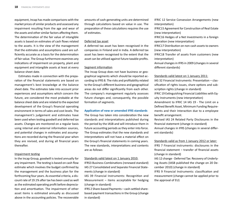equipment, Incap has made comparisons with the market prices of similar products and assessed any impairment resulting from the age and wear of the assets and other similar factors affecting them. The determination of the fair value of intangible assets is based on estimates of cash flows related to the assets. It is the view of the management that the estimates and assumptions used are sufficiently accurate as a basis for the determination of fair value. The Group furthermore examines any indications of impairment on property, plant and equipment and intangible assets at least at every balance sheet date.

Estimates made in connection with the preparation of the financial statements are based on management's best knowledge at the balance sheet date. The estimates take into account prior experiences and assumptions which concern the future, are considered the most probable at the balance sheet date and are related to the expected development of the Group's financial operating environment in terms of sales and cost levels. The management's judgement and estimates have been used when testing goodwill and deferred tax assets. Changes are monitored on a regular basis using internal and external information sources, and potential changes in estimates and assumptions are recorded during the financial year when they are revised, and during all financial years thereafter.

#### Impairment testing

In the Incap Group, goodwill is tested annually for any impairment. The testing is based on cash flow estimate which involves the budget confirmed by the management and the business plan for the forthcoming four years. As essential criteria, a discount rate of 19.1% after tax has been used as well as the estimated operating profit before depreciation and amortisation. The impairment of other asset items is estimated annually as discussed above in the accounting policies. The recoverable

amounts of cash-generating units are determined through calculations based on value in use. The preparation of these calculations requires the use of estimates.

#### Deferred tax asset

A deferred tax asset has been recognised in the companies in Finland and in India. A deferred tax asset has been recognised to the extent that the asset can be utilised against future taxable profits.

#### Segment information

The Incap Group does not have business or geographical segments which should be reported according to IFRS 8. The risks and profitability related to the Group's different business and geographical areas do not differ significantly from each other. The company's management regularly assesses future changes and, consequently, the possible formation of segments.

#### **Applicati on of new or amended IFRS standards**

The Group has taken into consideration the new standards and interpretations published during the period by the IASB and will introduce them in future accounting periods as they enter into force. The Group estimates that the new standards and interpretations will not have a material effect on the Group's financial statements in coming years. The new standards, interpretations and contents are as follows:

#### Standards valid latest on 1 January 2010:

IFRS3 Business Combinations (renewed standard) IAS 27 Consolidated and Separate Financial Statements (change in standard)

IAS 39 Financial Instruments: Recognition and Measurement – items acceptable for hedging (change in standard)

IFRS 2 Share-based Payments - cash-settled sharebased payment transactions in the Group (change in standard)

IFRIC 12 Service Consession Arrangements (new interpretation)

IFRIC15 Agreement for Construction of Real Estate (new interpretation)

IFRIC16 Hedges of a Net Investments in a foreign operation (new interpretation)

IFRIC17 Distribution on non-cash assets to owners (new interpretation)

IFRIC18 Transfer of assets from customers (new interpretation)

Annual changes in IFRS in 2009 (changes in several different standards)

#### Standards valid latest on 1 January 2011:

IAS 32 Financial Instruments: Presentation - classification of rights issues, share options and subscription rights (change in standard) IFRIC 19 Extinguishing Financial Liabilities with Equity Instruments (new interpretation) Amendment to IFRIC 14 IAS 19 - The Limit on a Defined Benefit Asset, Minimum Funding Requirements and their Interaction due to a employee benefit arrangement.

Revised IAS 24 Related Party Disclosures in the financial statement (change in standard) Annual changes in IFRS (changes in several different standards)

Standards valid as from 1 January 2012 or later: IFRS 7 Financial instruments: disclosures in the financial statement  $-$  transfer of financial assets (change in standard)

IAS 12 change - Deferred Tax: Recovery of Underlying Assets (IASB published the change on 20 December 2010) (change in standard)

IFRS 9 Financial Instruments: classification and measurement (change cannot be applied prior to the approval of EU)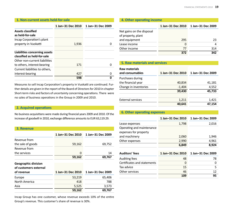#### **1. Non-current assets held-for-sale**

|                                                              | 1 Jan-31 Dec 2010 | 1 Jan-31 Dec 2009 |
|--------------------------------------------------------------|-------------------|-------------------|
| <b>Assets classified</b><br>as held-for-sale                 |                   |                   |
| Incap Corporation's plant<br>property in Vuokatti            | 1,936             |                   |
| Liabilities concerning assets<br>classified as held-for-sale |                   |                   |
| Other non-current liabilities<br>to others, interest-bearing | 171               |                   |
| Current liabilities to others.<br>interest-bearing           | 427               | O                 |
|                                                              | 598               |                   |

Measures to sell Incap Corporation's property in Vuokatti are continued. Further details are given in the report of the Board of Directors for 2010 in chapter Short-term risks and factors of uncertainty concerning operations. There were no sales of business operations in the Group in 2009 and 2010.

# **2. Acquired operations**

No business acquisitions were made during financial years 2009 and 2010. Of the increase of goodwill in 2010, exchange difference amounts to EUR 63,119.29.

# **3. Revenue**

|                                                     | 1 Jan-31 Dec 2010 | 1 Jan-31 Dec 2009 |
|-----------------------------------------------------|-------------------|-------------------|
| Revenue from                                        |                   |                   |
| the sale of goods                                   | 59,162            | 69,752            |
| Revenue from                                        |                   |                   |
| the services                                        | 0                 | 14                |
|                                                     | 59,162            | 69,767            |
| <b>Geographic division</b><br>of customers external |                   |                   |
| of revenue                                          | 1 Jan-31 Dec 2010 | 1 Jan-31 Dec 2009 |
| Europe                                              | 53,219            | 65,406            |
| North America                                       | 418               | 788               |
| Asia                                                | 5,525             | 3,573             |
|                                                     | 59,162            | 69,767            |

Incap Group has one customer, whose revenue exceeds 10% of the entire Group's revenue. This customer's share of revenue is 30%.

# **4. Other operating income**

|                                                 | 1 Jan-31 Dec 2010 | 1 Jan-31 Dec 2009 |
|-------------------------------------------------|-------------------|-------------------|
| Net gains on the disposal<br>of property, plant |                   |                   |
| and equipment                                   | 295               | 23                |
| Lease income                                    | $\mathbf{0}$      |                   |
| Other income                                    | 77                | 314               |
|                                                 | 372               | 342               |

## **5. Raw materials and services**

| <b>Raw materials</b><br>and consumables | 1 Jan-31 Dec 2010 | 1 Jan-31 Dec 2009 |
|-----------------------------------------|-------------------|-------------------|
| Purchases during                        |                   |                   |
| the financial year                      | 40,834            | 41,181            |
| Change in inventories                   | $-1,404$          | 4,552             |
|                                         | 39,430            | 45,733            |
| <b>External services</b>                | 1,211             | 1,421             |
|                                         | 40,641            | 47,154            |

# **6. Other operating expenses**

|                                                    | 1 Jan-31 Dec 2010 | 1 Jan-31 Dec 2009 |
|----------------------------------------------------|-------------------|-------------------|
| Lease expenses                                     | 1,798             | 2,016             |
| Operating and maintenance<br>expenses for property |                   |                   |
| and machinery                                      | 2,060             | 1,946             |
| Other expenses                                     | 2,990             | 4,961             |
|                                                    | 6,849             | 8,924             |
|                                                    |                   |                   |
| <b>Auditors' fees</b>                              | 1 Jan-31 Dec 2010 | 1 Jan-31 Dec 2009 |
| Auditing fees                                      | 48                | 78                |
| Certificates and statements                        | $\Omega$          | O                 |
| Tax advice                                         | 15                | 5                 |
| Other services                                     | 46                | 12                |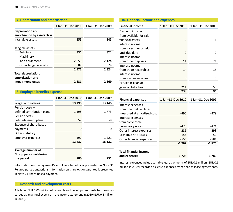# **7. Depreciati on and amorti sati on**

|                                                  | 1 Jan-31 Dec 2010 | 1 Jan-31 Dec 2009 |
|--------------------------------------------------|-------------------|-------------------|
| Depreciation and<br>amortisation by assets class |                   |                   |
| Intangible assets                                | 359               | 345               |
| Tangible assets                                  |                   |                   |
| <b>Buildings</b>                                 | 331               | 322               |
| Machinery                                        |                   |                   |
| and equipment                                    | 2,053             | 2,124             |
| Other tangible assets                            | 89                | 79                |
|                                                  | 2,472             | 2,524             |
| Total depreciation,<br>amortisation and          |                   |                   |
| impairment losses                                | 2,831             | 2,869             |

# **8. Employee benefits expense**

|                                                    | 1 Jan-31 Dec 2010 | 1 Jan-31 Dec 2009 |
|----------------------------------------------------|-------------------|-------------------|
| Wages and salaries                                 | 10,196            | 13,146            |
| Pension costs -                                    |                   |                   |
| defined contribution plans                         | 1,598             | 1,773             |
| Pension costs -                                    |                   |                   |
| defined-benefit plans                              | 52                | -8                |
| Expense of share-based                             |                   |                   |
| payments                                           | 0                 | 0                 |
| Other statutory                                    |                   |                   |
| employer expenses                                  | 592               | 1,221             |
|                                                    | 12,437            | 16,132            |
| Average number of<br><b>Group personnel during</b> |                   |                   |
| the period                                         | 780               | 751               |

Information on management's employee benefits is presented in Note 31 Related-party transactions. Information on share options granted is presented in Note 21 Share-based payment.

# **9. Research and development costs**

A total of EUR 0.05 million of research and development costs has been recorded as an annual expense in the income statement in 2010 (EUR 0.1 million in 2009).

| 10. Financial income and expenses |                   |                   |  |
|-----------------------------------|-------------------|-------------------|--|
| <b>Financial income</b>           | 1 Jan-31 Dec 2010 | 1 Jan-31 Dec 2009 |  |
| Dividend income                   |                   |                   |  |
| from available-for-sale           |                   |                   |  |
| financial assets                  | 2                 | 1                 |  |
| Interest income                   |                   |                   |  |
| from investments held             |                   |                   |  |
| until due date                    | 0                 | 0                 |  |
| Interest income                   |                   |                   |  |
| from other deposits               | 11                | 21                |  |
| Interest income                   |                   |                   |  |
| from trade receivables            | 14                | 18                |  |
| Interest income                   |                   |                   |  |
| from loan receivables             | 0                 | 0                 |  |
| Foreign exchange                  |                   |                   |  |
| gains on liabilities              | 211               | 55                |  |
|                                   | 238               | 96                |  |
|                                   |                   |                   |  |
| <b>Financial expenses</b>         | 1 Jan-31 Dec 2010 | 1 Jan-31 Dec 2009 |  |
| Interest expenses                 |                   |                   |  |
| from financial liabilities        |                   |                   |  |
| measured at amortised cost        | $-496$            | $-479$            |  |
| Interest expenses                 |                   |                   |  |
| from convertible                  |                   |                   |  |
| promissory notes                  | $-473$            | $-474$            |  |
| Other interest expenses           | $-281$            | $-293$            |  |
| Exchange rate losses              | $-155$            | $-50$             |  |
| Other financial expenses          | $-556$            | $-581$            |  |
|                                   | $-1,962$          | $-1,876$          |  |
| <b>Total financial income</b>     |                   |                   |  |
| and expenses                      | $-1.724$          | $-1,780$          |  |

Interest expenses include variable lease payments of EUR 0.1 million (EUR 0.1 million in 2009) recorded as lease expenses from finance lease agreements.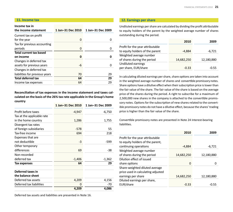#### **11. Income tax**

## **Income tax in**

| the income statement           | 1 Jan-31 Dec 2010 | 1 Jan-31 Dec 2009 |
|--------------------------------|-------------------|-------------------|
| Current tax on profit          |                   |                   |
| for the year                   | 0                 |                   |
| Tax for previous accounting    |                   |                   |
| periods                        | 0                 |                   |
| <b>Total current tax based</b> |                   |                   |
| on income                      | 0                 |                   |
| Changes in deferred tax        |                   |                   |
| assets for previous years      | -6                |                   |
| Changes in deferred tax        |                   |                   |
| liabilities for previous years | 70                | 29                |
| <b>Total deferred tax</b>      | 64                | 29                |
| Income tax expenses            | 64                | 29                |

Reconciliation of tax expenses in the income statement and taxes cal**culated on the basis of the 26% tax rate applicable in the Group's home country** 

|                            | 1 Jan-31 Dec 2010 | 1 Jan-31 Dec 2009 |
|----------------------------|-------------------|-------------------|
| Profit before taxes        | -4,947            | $-6,750$          |
| Tax at the applicable rate |                   |                   |
| in the home country        | 1,286             | 1,755             |
| Divergent tax rates        |                   |                   |
| of foreign subsidiaries    | $-578$            | 55                |
| Tax-free income            | 694               | 218               |
| Expenses that are          |                   |                   |
| not deductible             | -3                | -599              |
| Other temporary            |                   |                   |
| differences                | 69                | -38               |
| Non-recorded               |                   |                   |
| deferred tax               | $-1,406$          | $-1,362$          |
| Tax expenses               | 64                | 29                |
| Deferred taxes in          |                   |                   |
| the balance sheet          |                   |                   |
| Deferred tax assets        | 4,209             | 4,156             |
| Deferred tax liabilities   | 0                 | -70               |
|                            | 4,209             | 4,086             |

**12. Earnings per share**

Undiluted earnings per share are calculated by dividing the profit attributable to equity holders of the parent by the weighted average number of shares outstanding during the period.

|                                  | 2010       | 2009       |
|----------------------------------|------------|------------|
| Profit for the year attributable |            |            |
| to equity holders of the parent  | -4.884     | $-6,721$   |
| Weighted average number          |            |            |
| of shares during the period      | 14,682,250 | 12,180,880 |
| Undiluted earnings               |            |            |
| per share, EUR/share             | $-0.33$    | $-0.55$    |

In calculating diluted earnings per share, share options are taken into account in the weighted average number of shares and convertible promissory notes. Share options have a dilutive effect when their subscription price is lower than the fair value of the share. The fair value of the share is based on the average price of the shares during the period. A right to subscribe for a maximum of 2,500,000 new shares in the company is attached to the convertible promissory notes. Options for the subscription of new shares related to the convertible promissory notes do not have a dilutive effect, because the shares' trading price is higher than the fair value of the share.

Convertible promissory notes are presented in Note 24 Interest-bearing liabilities.

|                                                                      | 2010       | 2009       |
|----------------------------------------------------------------------|------------|------------|
| Profit for the year attributable<br>to equity holders of the parent, |            |            |
| continuing operations                                                | $-4,884$   | $-6,721$   |
| Weighted average number<br>of shares during the period               | 14,682,250 | 12,180,880 |
| Dilution effect of issued                                            |            |            |
| share options                                                        | 0          |            |
| Share-weighted diluted average<br>price used in calculating adjusted |            |            |
| earnings per share                                                   | 14,682,250 | 12,180,880 |
| Diluted earnings per share,<br>EUR/share                             | -0.33      | -0.55      |
|                                                                      |            |            |

Deferred tax assets and liabilities are presented in Note 16.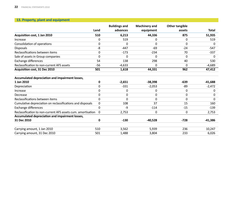# **13. Property, plant and equipment**

|                                                              |              | <b>Buildings and</b> | <b>Machinery and</b> | <b>Other tangible</b> |              |
|--------------------------------------------------------------|--------------|----------------------|----------------------|-----------------------|--------------|
|                                                              | Land         | advances             | equipment            | assets                | <b>Total</b> |
| Acquisition cost, 1 Jan 2010                                 | 510          | 6,213                | 44,336               | 875                   | 51,935       |
| Increase                                                     | 0            | 519                  | 0                    | 0                     | 519          |
| Consolidation of operations                                  | $\Omega$     | 0                    | 0                    | 0                     | 0            |
| <b>Disposals</b>                                             | -8           | $-447$               | $-69$                | $-24$                 | $-547$       |
| Reclassifications between items                              | 0            | $-173$               | $-234$               | 70                    | $-337$       |
| Sale of assets in Group companies                            | 0            | $\Omega$             | $\Omega$             | $\Omega$              | 0            |
| Exchange differences                                         | 54           | 138                  | 298                  | 40                    | 530          |
| Reclassification to non-current AFS assets                   | $-56$        | $-4,633$             | 0                    | 0                     | $-4,689$     |
| Acquisition cost, 31 Dec 2010                                | 501          | 1,618                | 44,331               | 962                   | 47,412       |
| Accumulated depreciation and impairment losses,              |              |                      |                      |                       |              |
| 1 Jan 2010                                                   | 0            | $-2,651$             | $-38,398$            | $-639$                | -41,688      |
| Depreciation                                                 | 0            | $-331$               | $-2,053$             | -89                   | $-2,472$     |
| Increase                                                     | 0            | 0                    | 0                    | $\Omega$              | 0            |
| Decrease                                                     | $\Omega$     | 0                    | 0                    | $\Omega$              | 0            |
| Reclassifications between items                              | $\Omega$     | 0                    | 0                    | $\Omega$              | 0            |
| Cumulative depreciation on reclassifications and disposals   | 0            | 108                  | 37                   | 15                    | 160          |
| Exchange differences                                         | 0            | $-9$                 | $-114$               | $-15$                 | $-139$       |
| Reclassification to non-current AFS assets cum. amortisation | $\mathbf{0}$ | 2,753                | 0                    | 0                     | 2,753        |
| Accumulated depreciation and impairment losses,              |              |                      |                      |                       |              |
| 31 Dec 2010                                                  | 0            | $-130$               | $-40,528$            | $-728$                | $-41,386$    |
| Carrying amount, 1 Jan 2010                                  | 510          | 3,562                | 5,939                | 236                   | 10,247       |
| Carrying amount, 31 Dec 2010                                 | 501          | 1,488                | 3,804                | 233                   | 6,026        |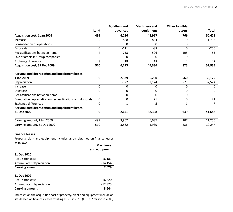|                                                            |             | <b>Buildings and</b> | <b>Machinery and</b> | Other tangible |              |
|------------------------------------------------------------|-------------|----------------------|----------------------|----------------|--------------|
|                                                            | Land        | advances             | equipment            | assets         | <b>Total</b> |
| Acquisition cost, 1 Jan 2009                               | 499         | 6,236                | 42,927               | 766            | 50,428       |
| Increase                                                   | 0           | 828                  | 884                  | 0              | 1,712        |
| Consolidation of operations                                | 0           | 0                    | $\Omega$             | 0              | 0            |
| <b>Disposals</b>                                           | 0           | $-111$               | -88                  |                | $-200$       |
| Reclassifications between items                            | 4           | $-758$               | 596                  | 105            | $-53$        |
| Sale of assets in Group companies                          | 0           | 0                    | $\Omega$             | 0              | O            |
| <b>Exchange differences</b>                                | 8           | 18                   | 18                   | 4              | 47           |
| Acquisition cost, 31 Dec 2009                              | 510         | 6,213                | 44,336               | 875            | 51,935       |
| Accumulated depreciation and impairment losses,            |             |                      |                      |                |              |
| 1 Jan 2009                                                 | 0           | $-2,329$             | $-36,290$            | -560           | $-39,179$    |
| Depreciation                                               | 0           | $-322$               | $-2,124$             | $-79$          | $-2,524$     |
| Increase                                                   | 0           | 0                    | 0                    | 0              | 0            |
| Decrease                                                   | 0           | 0                    | $\Omega$             | 0              | 0            |
| Reclassifications between items                            | 0           | 0                    | $\Omega$             | 0              | O            |
| Cumulative depreciation on reclassifications and disposals | $\mathbf 0$ | 0                    | 21                   | 0              | 21           |
| <b>Exchange differences</b>                                | 0           | $-1$                 | -5                   | -1             | $-7$         |
| Accumulated depreciation and impairment losses,            |             |                      |                      |                |              |
| 31 Dec 2009                                                | 0           | $-2,651$             | $-38,398$            | $-639$         | $-41,688$    |
| Carrying amount, 1 Jan 2009                                | 499         | 3,907                | 6,637                | 207            | 11,250       |
| Carrying amount, 31 Dec 2009                               | 510         | 3,562                | 5,939                | 236            | 10,247       |
|                                                            |             |                      |                      |                |              |

#### **Finance leases**

Property, plant and equipment includes assets obtained on finance leases as follows:

| 31 Dec 2010<br>Acquisition cost<br>16,183<br>Accumulated depreciation<br>$-14,154$<br>2,029<br><b>Carrying amount</b><br>31 Dec 2009<br>Acquisition cost<br>16,520<br>Accumulated depreciation<br>$-12,875$<br>3,644<br><b>Carrying amount</b> | <b>Machinery</b><br>and equipment |
|------------------------------------------------------------------------------------------------------------------------------------------------------------------------------------------------------------------------------------------------|-----------------------------------|
|                                                                                                                                                                                                                                                |                                   |
|                                                                                                                                                                                                                                                |                                   |
|                                                                                                                                                                                                                                                |                                   |
|                                                                                                                                                                                                                                                |                                   |
|                                                                                                                                                                                                                                                |                                   |
|                                                                                                                                                                                                                                                |                                   |
|                                                                                                                                                                                                                                                |                                   |
|                                                                                                                                                                                                                                                |                                   |

Increases on the acquisition cost of property, plant and equipment include assets leased on finances leases totalling EUR 0 in 2010 (EUR 0.7 million in 2009).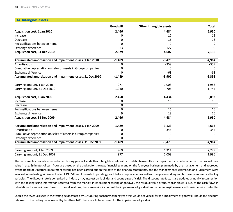| 14. Intangible assets                                         |              |                         |              |
|---------------------------------------------------------------|--------------|-------------------------|--------------|
|                                                               | Goodwill     | Other intangible assets | <b>Total</b> |
| Acquisition cost, 1 Jan 2010                                  | 2,466        | 4,484                   | 6,950        |
| Increase                                                      | 0            | 12                      | 12           |
| Decrease                                                      | 0            | $-16$                   | $-16$        |
| Reclassifications between items                               | $\mathbf{0}$ | $\Omega$                | 0            |
| Exchange difference                                           | 63           | 127                     | 190          |
| Acquisition cost, 31 Dec 2010                                 | 2,529        | 4,607                   | 7,136        |
| Accumulated amortisation and impairment losses, 1 Jan 2010    | $-1,489$     | $-3,475$                | $-4,964$     |
| Amortisation                                                  | 0            | $-359$                  | $-359$       |
| Cumulative depreciation on sales of assets in Group companies | $\mathbf{0}$ | $\Omega$                | 0            |
| Exchange difference                                           | $\Omega$     | $-68$                   | $-68$        |
| Accumulated amortisation and impairment losses, 31 Dec 2010   | $-1,489$     | $-3,902$                | $-5,391$     |
| Carrying amount, 1 Jan 2010                                   | 977          | 1,008                   | 1,986        |
| Carrying amount, 31 Dec 2010                                  | 1,040        | 705                     | 1,745        |
| Acquisition cost, 1 Jan 2009                                  | 2,458        | 4,434                   | 6,892        |
| Increase                                                      | 0            | 16                      | 16           |
| Decrease                                                      | 0            | $\Omega$                | $\Omega$     |
| Reclassifications between items                               | 0            | 16                      | 16           |
| Exchange difference                                           | 9            | 18                      | 26           |
| Acquisition cost, 31 Dec 2009                                 | 2,466        | 4,484                   | 6,950        |
| Accumulated amortisation and impairment losses, 1 Jan 2009    | $-1,489$     | $-3,123$                | $-4,612$     |
| Amortisation                                                  | 0            | $-345$                  | $-345$       |
| Cumulative depreciation on sales of assets in Group companies | 0            | 0                       | 0            |
| Exchange difference                                           | $\Omega$     | $-6$                    | $-6$         |
| Accumulated amortisation and impairment losses, 31 Dec 2009   | $-1,489$     | $-3,475$                | $-4,964$     |
| Carrying amount, 1 Jan 2009                                   | 969          | 1,311                   | 2,279        |
| Carrying amount, 31 Dec 2009                                  | 977          | 1,008                   | 1,986        |

The recoverable amounts assessed when testing goodwill and other intangible assets with an indefinite useful life for impairment are determined on the basis of their value in use. Estimates of cash flows are based on the budget for the next financial year and on the four-year business plan made by the management and approved by the Board of Directors. Impairment testing has been carried out on the date of the financial statements, and the management's estimation and judgement were involved when testing. A discount rate of 19.05% and forecasted operating profit before depreciation as well as changes in working capital have been used as the key variables. The discount rate is comprised of industry risk, interest on liabilities and country-specific risk. The discount rate factors are updated annually in connection with the testing using information received from the market. In impairment testing of goodwill, the residual value of future cash flows is 33% of the cash flows in calculations for value in use. Based on the calculations, there are no indications of the impairment of goodwill and other intangible assets with an indefinite useful life.

Should the revenues used in the testing be decreased by 16% during each forthcoming year, this would not yet call for the impairment of goodwill. Should the discount rate used in the testing be increased by less than 14%, there would be no need for the impairment of goodwill.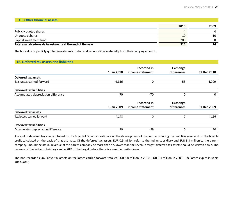#### **15. Other financial assets**

|                                                             | 2010 | 2009 |
|-------------------------------------------------------------|------|------|
| Publicly quoted shares                                      | ப    |      |
| Unquoted shares                                             | 10   | 10   |
| Capital investment fund                                     | 300  |      |
| Total available-for-sale investments at the end of the year | 314  |      |

The fair value of publicly quoted investments in shares does not differ materially from their carrying amount.

# **16. Deferred tax assets and liabiliti es**

|                                     | 1 Jan 2010 | <b>Recorded in</b><br>income statement | Exchange<br>differences        | 31 Dec 2010 |
|-------------------------------------|------------|----------------------------------------|--------------------------------|-------------|
| Deferred tax assets                 |            |                                        |                                |             |
| Tax losses carried forward          | 4,156      | 0                                      | 53                             | 4,209       |
| <b>Deferred tax liabilities</b>     |            |                                        |                                |             |
| Accumulated depreciation difference | 70         | -70                                    | 0                              | 0           |
|                                     | 1 Jan 2009 | <b>Recorded in</b><br>income statement | <b>Exchange</b><br>differences | 31 Dec 2009 |

|                                     | T JUIL COOP |       | コエ レヒヒ ムソソフ |
|-------------------------------------|-------------|-------|-------------|
| Deferred tax assets                 |             |       |             |
| Tax losses carried forward          | 4.148       |       | 4.156       |
| <b>Deferred tax liabilities</b>     |             |       |             |
| Accumulated depreciation difference | 99          | $-29$ | 70          |

Amount of deferred tax assets is based on the Board of Directors' estimate on the development of the company during the next five years and on the taxable profit calculated on the basis of that estimate. Of the deferred tax assets, EUR 0.9 million refer to the Indian subsidiary and EUR 3.3 million to the parent company. Should the actual revenue of the parent company be more than 4% lower than the revenue target, deferred tax assets should be written down. The revenue of the Indian subsidiary can be 70% of the target before there is a need for write-down.

The non-recorded cumulative tax assets on tax losses carried forward totalled EUR 8.0 million in 2010 (EUR 6.4 million in 2009). Tax losses expire in years 2012–2020.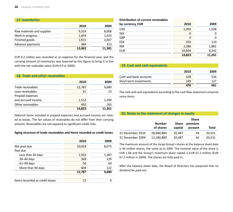| <b>17. Inventories</b>     |        |        |
|----------------------------|--------|--------|
|                            | 2010   | 2009   |
| Raw materials and supplies | 9,314  | 8,008  |
| Work in progress           | 1,454  | 1,023  |
| Finished goods             | 1,911  | 2,037  |
| Advance payments           | 384    | 313    |
|                            | 13,062 | 11,381 |

EUR 0.2 million was recorded as an expense for the financial year, and the carrying amount of inventories was lowered by this figure to bring it in line with the net realisable value (EUR 0.9 in 2009).

| 18. Trade and other receivables |        |        |
|---------------------------------|--------|--------|
|                                 | 2010   | 2009   |
| Trade receivables               | 12,787 | 9,680  |
| Loan receivables                | 31     | 23     |
| Prepaid expenses                |        |        |
| and accrued income              | 1,512  | 1,294  |
| Other receivables               | 492    | 265    |
|                                 | 14,823 | 11.261 |

Material items included in prepaid expenses and accrued income are related to leases. The fair values of receivables do not differ from their carrying amount. Receivables are not exposed to significant credit risks.

#### **Aging structure of trade receivables and items recorded as credit losses**

|                                 | 2010   | 2009  |
|---------------------------------|--------|-------|
| Not past due                    | 10,024 | 8,073 |
| Past due                        |        |       |
| Less than 30 days               | 1,933  | 1,287 |
| $30 - 60$ days                  | 369    | 129   |
| $61 - 90$ days                  | 56     | 69    |
| More than 90 days               | 404    | 122   |
|                                 | 12,787 | 9,680 |
| Items recorded as credit losses | 12     |       |

| Distribution of current receivables |        |        |
|-------------------------------------|--------|--------|
| by currency, EUR                    | 2010   | 2009   |
| <b>USD</b>                          | 1,303  | 1,028  |
| <b>SEK</b>                          | 0      |        |
| GBP                                 | 0      | 0      |
| <b>EEK</b>                          | 292    | 110    |
| <b>INR</b>                          | 2,386  | 1,881  |
| <b>EUR</b>                          | 10,844 | 8,242  |
|                                     | 14,823 | 11,261 |

# **19. Cash and cash equivalents**

|                        | 2010 | 2009 |
|------------------------|------|------|
| Cash and bank accounts | 328  | 534  |
| Short-term investments | 149  | 177  |
|                        | 476  | 661  |

The cash and cash equivalents according to the cash flow statement comprise same items.

# **20. Notes to the statement of changes in equity**

|                  | <b>Number</b><br>of shares | <b>Share</b><br>capital | <b>Share</b><br>premium<br>account | Total  |
|------------------|----------------------------|-------------------------|------------------------------------|--------|
|                  |                            |                         |                                    |        |
| 31 December 2010 | 18,680,880                 | 20,487                  | 44                                 | 20,531 |
| 31 December 2009 | 12,180,880                 | 20,487                  | 44                                 | 20,531 |

The maximum amount of the Incap Group's shares at the balance sheet date is 40 million shares, the same as in 2009. The nominal value of the share is EUR 1.68 and the Group's maximum share capital is EUR 67.2 million (EUR 67.2 million in 2009). The shares are fully paid in.

After the balance sheet date, the Board of Directors has proposed that no dividend be paid out.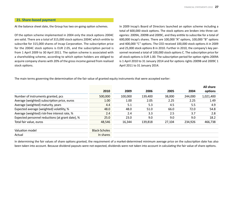# **21. Share-based payment**

At the balance sheet date, the Group has two on-going option schemes.

Of the option scheme implemented in 2004 only the stock options 2004C are valid. There are a total of 315,000 stock options 2004C which entitle to subscribe for 315,000 shares of Incap Corporation. The subscription price for the 2004C stock options is EUR 2.05, and the subscription period is from 1 April 2009 to 30 April 2011. The option scheme is associated with a shareholding scheme, according to which option holders are obliged to acquire company shares with 20% of the gross income gained from realised stock options.

In 2009 Incap's Board of Directors launched an option scheme including a total of 600,000 stock options. The stock options are broken into three categories: 2009A, 2009B and 2009C, and they entitle to subscribe for a total of 600,000 Incap's shares. There are 100,000 "A" options, 100,000 "B" options and 400,000 "C" options. The CEO received 100,000 stock options A in 2009 and 25,000 stock options B in 2010. Further in 2010, the company's key personnel received a total of 100,000 stock options C. The subscription price for all stock options is EUR 1.00. The subscription period for option rights 2009A is 1 April 2010 to 31 January 2014 and for options rights 2009B and 2009C 1 April 2011 to 31 January 2014.

The main terms governing the determination of the fair value of granted equity instruments that were accepted earlier:

|                                                  | 2010                 | 2009    | 2006    | 2005   | 2004    | All share<br>options |
|--------------------------------------------------|----------------------|---------|---------|--------|---------|----------------------|
| Number of instruments granted, pcs               | 500,000              | 100,000 | 139,400 | 38,000 | 244,000 | 1,021,400            |
| Average (weighted) subscription price, euros     | 1.00                 | 1.00    | 2.05    | 2.25   | 2.25    | 1.49                 |
| Average (weighted) maturity, years               | 4.4                  | 5.1     | 5.3     | 4.5    | 5.5     | 4.9                  |
| Expected average (weighted) volatility, %        | 48.0                 | 48.0    | 51.0    | 66.0   | 72.0    | 54.8                 |
| Average (weighted) risk-free interest rate, %    | 2.4                  | 2.4     | 3.3     | 2.5    | 3.7     | 2.8                  |
| Expected personnel reductions (at grant date), % | 25.0                 | 23.0    | 9.0     | 9.0    | 9.0     | 18.2                 |
| Total fair value, euros                          | 48,546               | 16,344  | 139,818 | 27,104 | 234,926 | 466,738              |
| Valuation model                                  | <b>Black-Scholes</b> |         |         |        |         |                      |
| Actual                                           | In shares            |         |         |        |         |                      |

In determining the fair values of share options granted, the requirement of a market-determined minimum average price on the subscription date has also been taken into account. Because dividend payouts were not expected, dividends were not taken into account in calculating the fair value of share options.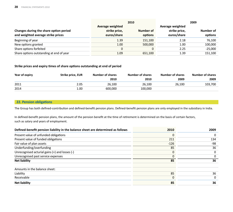|                                                                              | 2010                                             |                      | 2009                                             |                      |
|------------------------------------------------------------------------------|--------------------------------------------------|----------------------|--------------------------------------------------|----------------------|
| Changes during the share option period<br>and weighted average strike prices | Average weighted<br>strike price,<br>euros/share | Number of<br>options | Average weighted<br>strike price,<br>euros/share | Number of<br>options |
| Beginning of year                                                            | 1.39                                             | 151,100              | 2.18                                             | 76,100               |
| New options granted                                                          | 1.00                                             | 500,000              | 1.00                                             | 100,000              |
| Share options forfeited                                                      | 0                                                |                      | 2.25                                             | $-25,000$            |
| Share options outstanding at end of year                                     | 1.09                                             | 651,100              | 1.39                                             | 151,100              |

# **Strike prices and expiry ti mes of share opti ons outstanding at end of period**

| Year of expiry | Strike price, EUR | <b>Number of shares</b> | <b>Number of shares</b> | <b>Number of shares</b> | <b>Number of shares</b> |
|----------------|-------------------|-------------------------|-------------------------|-------------------------|-------------------------|
|                |                   | 2010                    | 2010                    | 2009                    | 2009                    |
| 2011           | 2.05              | 26,100                  | 26.100                  | 26.100                  | 103,700                 |
| 2014           | 1.00              | 600,000                 | 100,000                 |                         |                         |

# **22. Pension obligati ons**

The Group has both defined-contribution and defined-benefit pension plans. Defined-benefit pension plans are only employed in the subsidiary in India.

In defined-benefit pension plans, the amount of the pension benefit at the time of retirement is determined on the basis of certain factors, such as salary and years of employment.

| Defined-benefit pension liability in the balance sheet are determined as follows | 2010     | 2009 |
|----------------------------------------------------------------------------------|----------|------|
| Present value of unfunded obligations                                            | 0        | 0    |
| Present value of funded obligations                                              | 211      | 134  |
| Fair value of plan assets                                                        | $-126$   | -98  |
| Underfunding/overfunding                                                         | 85       | 36   |
| Unrecognised acturial gains (+) and losses (-)                                   | $\Omega$ | 0    |
| Unrecognised past service expenses                                               |          | 0    |
| <b>Net liability</b>                                                             | 85       | 36   |
| Amounts in the balance sheet:                                                    |          |      |
| Liability                                                                        | 85       | 36   |
| Receivable                                                                       | $\Omega$ | 0    |
| <b>Net liability</b>                                                             | 85       | 36   |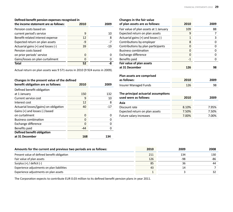# **Defined-benefit pension expenses recognised in**

| the income statement are as follows: | 2010 | 2009  |
|--------------------------------------|------|-------|
| Pension costs based on               |      |       |
| current period's service             | 9    | 10    |
| Benefit-related interest expense     | 12   | 8     |
| Expected return on plan assets       | $-9$ | $-7$  |
| Actuarial gains (+) and losses (-)   | 39   | $-19$ |
| Pension costs based                  |      |       |
| on prior periods' service            | O    |       |
| Gains/losses on plan curtailment     | O    | 0     |
| <b>Total</b>                         | 52   | -8    |

Actual return on plan assets was 9 571 euros in 2010 (9 924 euros in 2009).

# **Changes in the present value of the defined**

| benefit obligation are as follows:     | 2010  | 2009  |
|----------------------------------------|-------|-------|
| Defined benefit obligation             |       |       |
| at 1 January                           | 150   | 132   |
| Current service cost                   | 9     | 10    |
| Interest cost                          | 12    | 8     |
| Actuarial losses/(gains) on obligation | 40    | $-17$ |
| Gains (+) and losses (-) based         |       |       |
| on curtailment                         | 0     | 0     |
| <b>Business combination</b>            | O     | Ω     |
| Exchange difference                    | 0     | 0     |
| Benefits paid                          | $-44$ |       |
| Defined benefit obligation             |       |       |
| at 31 December                         | 168   | 134   |

| Changes in the fair value              |       |       |
|----------------------------------------|-------|-------|
| of plan assets are as follows:         | 2010  | 2009  |
| Fair value of plan assets at 1 January | 109   | 88    |
| Expected return on plan assets         | 9     | 7     |
| Actuarial gains (+) and losses (-)     | 1     | 3     |
| Contributions by employer              | 8     | 0     |
| Contributions by plan participants     | 0     | 0     |
| <b>Business combination</b>            | 0     | 0     |
| Exchange difference                    | 0     | 0     |
| Benefits paid                          | $-1$  | 0     |
| Fair value of plan assets              |       |       |
| at 31 December                         | 126   | 98    |
| Plan assets are comprised              |       |       |
| as follows:                            | 2010  | 2009  |
| <b>Insurer Managed Funds</b>           | 126   | 98    |
| The principal actuarial assumptions    |       |       |
| used were as follows:                  | 2010  | 2009  |
| Asia                                   |       |       |
| Discount rate                          | 8.10% | 7.95% |
|                                        |       |       |

| Discount rate                  | 8.10% | $7.95\%$ |
|--------------------------------|-------|----------|
| Expected return on plan assets | 7.50% | 7.50%    |
| Future salary increases        | 7.00% | 7.00%    |
|                                |       |          |

| Amounts for the current and previous two periods are as follows: | 2010 | 2009 | 2008 |
|------------------------------------------------------------------|------|------|------|
| Present value of defined benefit obligation                      | 211  | 134  | 130  |
| Fair value of plan assets                                        | 126  | -98  | -86  |
| Surplus $(+)$ / deficit $(-)$                                    | 85   | 36   | 44   |
| Experience adjustments on plan liabilities                       | 43   | 14   |      |
| Experience adjustments on plan assets                            |      |      | 32   |

The Corporation expects to contribute EUR 0.03 million to its defined benefit pension plans in year 2011.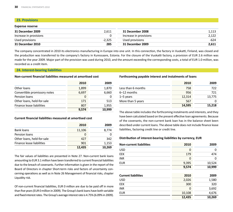# **23. Provisions**

#### **Expense reserve**

| 31 December 2009       | 2.611    | 31 December 2008       | 1.113 |
|------------------------|----------|------------------------|-------|
| Increase in provisions |          | Increase in provisions | 2.122 |
| Used provisions        | $-2.325$ | Used provisions        | -624  |
| 31 December 2010       | 285      | 31 December 2009       | 2,611 |

The company concentrated in 2010 its electronics manufacturing in Europe into one unit. In this connection, the factory in Vuokatti, Finland, was closed and the production was transferred to the company's factory in Kuressaare, Estonia. For the closure of the Vuokatti factory, a provision of EUR 2.6 million was made for the year 2009. Major part of the provision was used during 2010, and the amount exceeding the corresponding costs, a total of EUR 1.0 million, was recorded as a credit item.

## **24. Interest-bearing liabiliti es**

## **Non-current financial liabilities measured at amortised cost**

|                              | 2010  | 2009   |
|------------------------------|-------|--------|
| Other loans                  | 1,899 | 1,870  |
| Convertible promissory notes | 6,697 | 6,660  |
| Pension loans                | 0     |        |
| Other loans, held-for-sale   | 171   | 513    |
| Finance lease liabilities    | 807   | 1,955  |
|                              | 9.574 | 10.999 |

## **Current fi nancial liabiliti es measured at amorti sed cost**

|                            | 2010   | 2009   |
|----------------------------|--------|--------|
| <b>Bank loans</b>          | 11,106 | 8,774  |
| Pension loans              |        |        |
| Other loans, held-for-sale | 427    | 342    |
| Finance lease liabilities  | 901    | 1,153  |
|                            | 12,435 | 10.269 |

The fair values of liabilities are presented in Note 27. Non-current bank loans amounting to EUR 3.1 million have been transferred to current financial liabilities due to the breach of covenants. Further information is given in the report of the Board of Directors in chapter Short-term risks and factors of uncertainty concerning operations as well as in Note 26 Management of financial risks, chapter Liquidity risk.

Of non-current financial liabilities, EUR 0 million are due to be paid off in more than five years (EUR 0 million in 2009). The Group's bank loans have both variable and fixed interest rates. The Group's average interest rate is 4.75% (6.09% in 2009).

## **Forthcoming payable interest and instalments of loans**

|                    | 2010   | 2009   |
|--------------------|--------|--------|
| Less than 6 months | 758    | 722    |
| $6-12$ months      | 956    | 721    |
| $1-5$ years        | 12.314 | 13,775 |
| More than 5 years  | 567    |        |
|                    | 14.595 | 15.218 |

The above table includes the forthcoming instalments and interests, and they have been calculated based on the present effective loan agreements. Because of the covenants, the non-current bank loan has in the balance sheet been described under current loans. The above table does not include finance lease liabilities, factoring credit line or credit line.

# **Distributi on of interest-bearing liabiliti es by currency, EUR**

| 2010   | 2009   |
|--------|--------|
| 0      | 0      |
| 179    | 474    |
| 0      | 0      |
| 9,395  | 10,524 |
| 9,574  | 10,999 |
|        |        |
| 2010   | 2009   |
| 2,026  | 1,580  |
| 300    | 320    |
| 0      | 3,692  |
| 10,108 | 4,676  |
| 12,435 | 10,269 |
|        |        |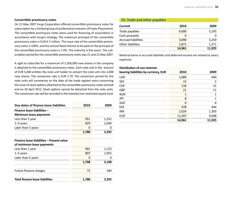#### **Converti ble promissory notes**

On 21 May 2007 Incap Corporation offered convertible promissory notes for subscription by a limited group of professional investors (Private Placement). The convertible promissory notes were used for financing of acquisitions in accordance with Incap's strategy. The maximum principal of the convertible promissory notes is EUR 6.7 million. The issue rate of the convertible promissory notes is 100%, and the annual fixed interest to be paid on the principal of the convertible promissory notes is 7.0%. The maturity is five years. The subscription period for the convertible promissory notes was 21 and 22 May 2007.

A right to subscribe for a maximum of 2,500,000 new shares in the company is attached to the convertible promissory notes. Each note unit in the amount of EUR 5,400 entitles the note unit holder to convert the note unit into 2,000 new shares. The conversion rate is EUR 2.70. The conversion period for the note units will commence on the date of the trade register entry concerning the issue of stock options attached to the convertible promissory notes and will end on 30 April 2012. Stock options cannot be detached from the note units. The conversion rate will be recorded in the invested non-restricted equity fund.

| Due dates of finance lease liabilities                                 | 2010  | 2009  |
|------------------------------------------------------------------------|-------|-------|
| Finance lease liabilities -<br>Minimum lease payments                  |       |       |
| Less than 1 year                                                       | 951   | 1,252 |
| $1-5$ years                                                            | 829   | 2,040 |
| Later than 5 years                                                     | 0     | 0     |
|                                                                        | 1,780 | 3,292 |
| Finance lease liabilities - Present value<br>of minimum lease payments |       |       |
| Less than 1 year                                                       | 901   | 1,153 |
| $1-5$ years                                                            | 807   | 1,955 |
| Later than 5 years                                                     | 0     | 0     |
|                                                                        | 1,708 | 3,108 |
| Future finance charges                                                 | 72    | 184   |
| <b>Total finance lease liabilities</b>                                 | 1,780 | 3,292 |

#### **25. Trade and other payables**

| Current                    | 2010   | 2009   |
|----------------------------|--------|--------|
| Trade payables             | 9,000  | 5,295  |
| Cash proceeds              | O      |        |
| <b>Accrued liabilities</b> | 3,090  | 5,259  |
| Other liabilities          | 2,871  | 1,371  |
|                            | 14,961 | 11,925 |

Material items in accrued liabilities and deferred income are related to salary expenses.

| 2010   | 2009   |
|--------|--------|
| 1,089  | 440    |
| 15     | 2      |
| 118    | 31     |
| 21     | 11     |
| 1      | 1      |
| 8      | 1      |
| 0      | -4     |
| 478    | 444    |
| 2,024  | 1,303  |
| 11,207 | 9,698  |
| 14,961 | 11,925 |
|        |        |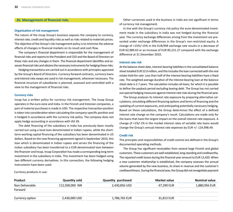#### **26. Management of financial risks**

#### **Organisati on of risk management**

The nature of the Incap Group's business exposes the company to currency, interest rate, credit and liquidity risks as well as risks related to materials prices. The objective of the Group's risk management policy is to minimise the adverse effects of changes in financial markets on its result and cash flow.

The company's financial department is responsible for the management of financial risks and reports to the President and CEO and the Board of Directors on these risks and any changes in them. The financial department identifies and assesses financial risks and obtains the necessary instruments for hedging these risks.

Hedging transactions are carried out in accordance with principles approved by the Group's Board of Directors. Currency forward contracts, currency loans and interest rate swaps are used in risk management, whenever necessary. The financial structure of subsidiaries is planned, assessed and controlled with a view to the management of financial risks.

#### **Currency risks**

Incap has a written policy for currency risk management. The Incap Group operates in the euro zone and India. In the Finnish and Estonian companies, a part of material purchases is made in USD. The respective transaction position is taken into consideration when calculating the company-specific position and is hedged in accordance with the currency risk policy. The company does not apply hedge accounting in accordance with IAS 39.

The debt financing of the subsidiary in India has previously been mostly carried out using a local loan denominated in Indian rupees, while the shortterm working capital financing of the subsidiary has been denominated in US dollars. Based on the new financing agreement signed in September 2010, this loan which is denominated in Indian rupees and serves the financing of the Indian subsidiary has been transferred to a EUR-denominated loan between the financier and Incap. Incap Corporation has made a corresponding long-term investment in the subsidiary in India. This investment has been hedged using two different currency derivatives. In this connection, the following hedging instruments have been used:

Other currencies used in the business in India are not significant in terms of currency risk management.

In line with the Group's currency risk policy the euro-denominated investment made in the subsidiary in India was not hedged during the financial year. The currency exchange differences arising from the investment are presented under exchange differences in the Group's non-restricted equity. A change of +15%/-15% in the EUR/INR exchange rate results in a decrease of EUR 62,989.63 or an increase of EUR 85,221.27 compared with the exchange difference at 31 December 2010.

#### **Interest rate risk**

At the balance sheet date, interest-bearing liabilities in the consolidated balance sheet totalled EUR 22.0 million, and this includes the loan connected with the real estate held-for-sale. Less than half of the interest-bearing liabilities have a fixed rate. The weighted average duration of the interest-bearing loan at the balance sheet date is 2.7 years. The calculation includes all loans, for which it is possible to define the payback period excluding leasing debt. The Group has not carried out special hedging measures against interest rate risks during the financial year.

The Group analyses its interest rate exposure by preparing alternative calculations, simulating different financing options and forms of financing and the updating of current exposures, and anticipating potentially necessary hedging. Based on these calculations, the Group determines the effect of a defined interest rate change on the company's result. Calculations are made only for the loans that have the largest impact on the overall interest rate exposure. A change of +1%/-1% in the market interest rates of variable rate loans would change the Group's annual interest rate expenses by EUR +/- 124,998.49.

#### **Credit risk**

The principles and responsibilities of credit control are defined in the Group's documented operating methods.

The Group has significant receivables from several large Finnish and global customers. These customers are well-established, long-standing and creditworthy. The reported credit losses during the financial year amount to EUR 12,420. When a new customer relationship is established, the company assesses the annual volume generated by the new business, its share in revenue and the customer's creditworthiness. During the financial year, the Group did not renegotiate payment

Currency products in use:

| Product         | <b>Quantity sold</b> | <b>Quantity purchased</b> | Market value | Nominal value |
|-----------------|----------------------|---------------------------|--------------|---------------|
| Non Deliverable | 112.500.000 INR      | 2,430,856 USD             | -37,290 EUR  | 1,880,956 EUR |
| Forward         |                      |                           |              |               |
| Currency option | 2,430,000 USD        | 1,786,765 EUR             | 31,813 EUR   |               |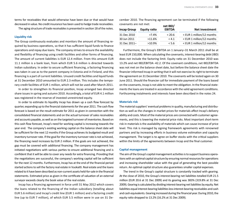terms for receivables that would otherwise have been due or that would have decreased in value. No credit insurance has been used to hedge trade receivables.

The aging structure of trade receivables is presented in section 18 of the notes.

#### **Liquidity risk**

The Group continuously evaluates and monitors the amount of financing required by business operations, so that it has sufficient liquid funds to finance operations and repay due loans. The company strives to ensure the availability and flexibility of financing using credit facilities and other forms of financing. The amount of current liabilities is EUR 12.4 million. From this amount EUR 11.1 million is a bank loan, from which EUR 5.6 million is directed towards Indian subsidiary. In order to secure sufficient financing, a factoring financing was taken in use as to the parent company in Estonia and in Finland, and this financing is a part of current liabilities. Unused credit facilities and liquid funds at 31 December 2010 amounted to EUR 2.3 million. This includes the temporary credit facilities of EUR 1 million, which will not be used after March 2011.

In order to strengthen its financial position, Incap arranged two directed share issues in spring and autumn 2010. Accordingly, a total of EUR 4.1 million was registered in the reserve of invested unrestricted equity.

In order to estimate its liquidity Incap has drawn up a cash flow forecast by quarter, expanding up to the financial statements for the year 2011. The cash flow forecast is based on the result estimate for 2011 as given in connection with the consolidated financial statements and on the actual turnover of sales receivables and accounts payable, as well as on the targeted turnover of inventories. Based on this cash flow forecast, Incap's need for working capital is increasing towards the year end. The company's existing working capital on the balance sheet date will be sufficient for the next 12 months if the Group achieves its budgeted result and inventory turnover rate. If the goal for the inventory turnover rate is not achieved, the financing need increases by EUR 2 million. If the goals are not achieved, the gap must be covered with additional financing. The company management has initiated negotiations with various parties to ensure additional financing and is confident that it will be able to cover any needs for extra financing. Providing that the negotiations are successful, the company's working capital will be sufficient for the next 12 months. Furthermore, Incap has at the end of the financial period started actions to sell the factory real estate in Vuokatti. Real estate and the loans related to it have been described as non-current assets held-for-sale in the financial statements. Estimated price as given in the certificate of valuation of an external surveyor exceeds clearly the book value of the real estate.

Incap has a financing agreement in force until 31 May 2012 which covers the loans related to the financing of the Indian subsidiary (totalling about EUR 5.6 million) and Incap's credit line (EUR 1 million) and a factoring credit line (up to EUR 7 million), of which EUR 5.5 million were in use on 31 December 2010. The financing agreement can be terminated if the following covenants are not met:

| <b>Incap Group</b> | Equity ratio | <b>net IBD/</b><br><b>EBITDA</b> | <b>Net investment</b>                              |
|--------------------|--------------|----------------------------------|----------------------------------------------------|
| 31 Dec 2010        | $>7.4\%$     | < 20.6                           | <eur 1="" 12="" million="" months<="" td=""></eur> |
| 30 Jun 2011        | $>11.6\%$    | < 4.1                            | $\le$ EUR 1 million/12 months                      |
| 31 Dec 2011-       | $>10.9\%$    | < 5.6                            | <eur 1="" 12="" million="" months<="" td=""></eur> |

Furthermore, the Group's EBITDA on 1 January–31 March 2011 shall be at<br>least EUR 150,000. When calculating the covenants, interest-bearing debt (IBD)<br>does not include the factoring limit. Equity ratio on 31 December 2010 w ments the loans are treated in accordance with the valid agreement conditions.<br>Forthcoming instalments and interests have been described in the notes 24. **ENGAGE ANCE AND THE CHINE AND THE CHINE AND THE UNIVERSIDENT AND CROSUSE THE CHINE (2010 1974)**  $\leq 20.6$  **EUR 1 million/12 months 30 lone 2011 -11.05%**  $\leq 4.1$  **and**  $\leq 10.000$  **. When a cEUR 1 million/12 months 30 lone 2** 

#### **Materials risk**

The material suppliers' eventual problems in quality, manufacturing and distribu tion as well as the changes in market prices for materials affect Incap's delivery<br>ability and costs. Most of the material prices are connected with customer agreements, and this is lowering the material price risks. Most important short-term<br>risk in materials is the availability of materials which can cause increase of price<br>level. This risk is managed by signing framework agreemen

#### **Capital management**

The aim of the Group's capital management activities is to support business opera-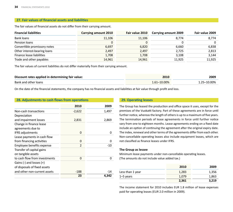# **27. Fair values of financial assets and liabilities**

The fair values of financial assets do not differ from their carrying amount.

| <b>Financial liabilities</b> | Carrying amount 2010 | Fair value 2010 | Carrying amount 2009 | Fair value 2009 |
|------------------------------|----------------------|-----------------|----------------------|-----------------|
| Bank loans                   | 11,106               | 11,106          | 8.774                | 8.774           |
| Pension loans                |                      |                 |                      | $\Omega$        |
| Convertible promissory notes | 6,697                | 6,820           | 6,660                | 6,838           |
| Other interest-bearing loans | 2,497                | 2,497           | 2,725                | 2,813           |
| Finance lease liabilities    | 1,708                | 1,708           | 3,108                | 3,144           |
| Trade and other payables     | 14,961               | 14,961          | 11,925               | 11,925          |

The fair values of current liabilities do not differ materially from their carrying amount.

| Discount rates applied in determining fair value: | 2010        | 2009        |
|---------------------------------------------------|-------------|-------------|
| Bank and other loans                              | 1.61–10.00% | 1.25–10.00% |

On the date of the financial statements, the company has no financial assets and liabilities at fair value through profit and loss.

## **28. Adjustments to cash flows from operations**

|                               | 2010     | 2009         |
|-------------------------------|----------|--------------|
| Non-cash transactions         | $-2,622$ | 1,497        |
| Depreciation                  |          |              |
| and impairment losses         | 2,831    | 2,869        |
| Change in finance lease       |          |              |
| agreements due to             |          |              |
| <b>IFRS adjustments</b>       | 0        | 0            |
| Lease payments in cash flow   |          |              |
| from financing activities     | 0        | $\mathbf{0}$ |
| Employee benefits expense     | 2        | $-10$        |
| Transfer of capital gains     |          |              |
| on tangible assets            |          |              |
| to cash flow from investments | 0        | 0            |
| Gains $(-)$ and losses $(+)$  |          |              |
| of disposals of fixed assets  |          |              |
| and other non-current assets  | $-188$   | $-14$        |
|                               | 23       | 4.342        |

## **29. Operating leases**

The Group has leased the production and office space it uses, except for the premises of the Vuokatti factory. Part of these agreements are in force until further notice, whereas the length of others is up to a maximum of five years. The termination periods of lease agreements in force until further notice vary from one to eighteen months. Lease agreements ending on a fixed date include an option of continuing the agreement after the original expiry date. The index, renewal and other terms of the agreements differ from each other. Non-cancellable operating leases also include equipment leases, which are not classified as finance leases under IFRS.

## **The Group as lessee**

Minimum lease payments under non-cancellable operating leases. (The amounts do not include value added tax.)

|                  | 2010  | 2009  |
|------------------|-------|-------|
| Less than 1 year | 1,283 | 1,356 |
| $1-5$ years      | 1.079 | 1,863 |
|                  | 2,361 | 3,219 |

The income statement for 2010 includes EUR 1.8 million of lease expenses paid for operating leases (EUR 2.0 million in 2009).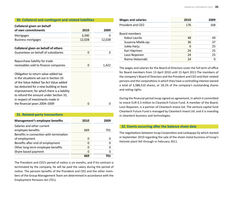| 30. Collateral and contingent and related liabilities                                                                                                                                                                                                                                               |        |        |  |
|-----------------------------------------------------------------------------------------------------------------------------------------------------------------------------------------------------------------------------------------------------------------------------------------------------|--------|--------|--|
| <b>Collateral given on behalf</b><br>of own commitments                                                                                                                                                                                                                                             | 2010   | 2009   |  |
| Mortgages                                                                                                                                                                                                                                                                                           | 3,340  | 0      |  |
| <b>Business mortgages</b>                                                                                                                                                                                                                                                                           | 12,028 | 12,028 |  |
| Collateral given on behalf of others                                                                                                                                                                                                                                                                |        |        |  |
| Guarantees on behalf of subsidiaries                                                                                                                                                                                                                                                                | 0      | 0      |  |
| Repurchase liability for trade<br>receivables sold to finance companies                                                                                                                                                                                                                             | 0      | 1,422  |  |
| Obligation to return value added tax<br>in the situations set out in Section 33<br>of the Value Added Tax Act Value added<br>tax deducted for a new building or basic<br>improvement, for which there is a liability<br>to refund the amount under Section 33,<br>in respect of investments made in |        |        |  |
| the financial years 2004–2009                                                                                                                                                                                                                                                                       | 0      | 0      |  |

#### **31. Related-party transacti ons**

| Management's employee benefits          | 2010 | 2009 |
|-----------------------------------------|------|------|
| Salaries and other current              |      |      |
| employee benefits                       | 669  | 701  |
| Benefits in connection with termination |      |      |
| of employment                           | O    |      |
| Benefits after end of employment        | O    |      |
| Other long-term employee benefits       | O    |      |
| Share-based payment                     | O    |      |
|                                         | 669  |      |

The President and CEO's period of notice is six months, and if his contract is terminated by the company, he will be paid the salary during the period of notice. The pension benefits of the President and CEO and the other members of the Group Management Team are determined in accordance with the Employment Pensions Act (TEL).

| <b>Wages and salaries</b> | 2010 | 2009 |
|---------------------------|------|------|
| President and CEO         | 176  | 168  |
|                           |      |      |
| Board members             |      |      |
| Kalevi Laurila            | 48   | 49   |
| Susanna Miekk-oja         | 36   | 37   |
| Jukka Harju               | O    | 25   |
| Kari Häyrinen             | 24   | 25   |
| Lassi Noponen             | 24   | 25   |
| Raimo Helasmäki           | 24   |      |
|                           |      |      |

The wages and salaries for the Board of Directors cover the full term of office for Board members from 13 April 2010 until 13 April 2011. The members of the company's Board of Directors and the President and CEO and their related persons and the corporations in which they have a controlling interest owned a total of 3,388,510 shares, or 18,1% of the company's outstanding shares and voting rights.

During the financial period Incap signed an agreement, in which it committed to invest EUR 0.3 million to Cleantech Future Fund. A member of the Board, Lassi Noponen, is a partner of Cleantech Invest Ltd. The venture capital fund Cleantech Future Fund is managed by Cleantech Invest Ltd. and it is investing in cleantech business and technologies.

#### **32. Events occurring after the balance sheet date**

The negotiations between Incap Corporation and Lankapaja Oy which started in September 2010 regarding the sale of the sheet-metal business of Incap's Helsinki plant fell through in February 2011.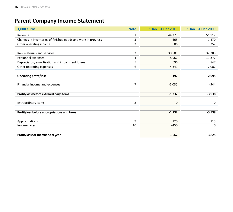# **Parent Company Income Statement**

| <b>1,000 euros</b>                                            | <b>Note</b>    | 1 Jan-31 Dec 2010 | 1 Jan-31 Dec 2009 |
|---------------------------------------------------------------|----------------|-------------------|-------------------|
| Revenue                                                       | $\mathbf 1$    | 44,373            | 51,912            |
| Changes in inventories of finished goods and work in progress | 3              | $-665$            | $-1,470$          |
| Other operating income                                        | $\overline{2}$ | 606               | 252               |
|                                                               |                |                   |                   |
| Raw materials and services                                    | 3              | 30,509            | 32,383            |
| Personnel expenses                                            | 4              | 8,962             | 13,377            |
| Depreciaton, amortisation and impairment losses               | 5              | 696               | 847               |
| Other operating expenses                                      | 6              | 4,343             | 7,082             |
|                                                               |                |                   |                   |
| <b>Operating profit/loss</b>                                  |                | $-197$            | $-2,995$          |
|                                                               |                |                   |                   |
| Financial income and expenses                                 | 7              | $-1,035$          | $-944$            |
|                                                               |                |                   |                   |
| Profit/loss before extraordinary items                        |                | $-1,232$          | $-3,938$          |
|                                                               |                |                   |                   |
| Extraordinary items                                           | 8              | 0                 | 0                 |
|                                                               |                |                   |                   |
| Profit/loss before appropriations and taxes                   |                | $-1,232$          | $-3,938$          |
|                                                               |                |                   |                   |
| Appropriations                                                | 9              | 120               | 113               |
| Income taxes                                                  | 10             | $-450$            | 0                 |
|                                                               |                |                   |                   |
| Profit/loss for the financial year                            |                | $-1,562$          | $-3,825$          |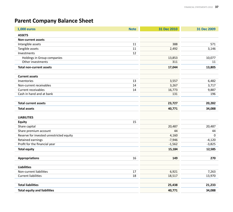# **Parent Company Balance Sheet**

| <b>1,000 euros</b>                       | <b>Note</b> | 31 Dec 2010 | 31 Dec 2009 |
|------------------------------------------|-------------|-------------|-------------|
| <b>ASSETS</b>                            |             |             |             |
| <b>Non-current assets</b>                |             |             |             |
| Intangible assets                        | 11          | 388         | 571         |
| Tangible assets                          | 11          | 2,492       | 3,146       |
| Investments                              | 12          |             |             |
| Holdings in Group companies              |             | 13,853      | 10,077      |
| Other investments                        |             | 311         | 11          |
| <b>Total non-current assets</b>          |             | 17,044      | 13,805      |
|                                          |             |             |             |
| <b>Current assets</b><br>Inventories     | 13          | 3,557       | 6,482       |
| Non-current receivables                  | 14          | 3,267       | 3,717       |
| Current receivables                      | 14          | 16,773      | 9,887       |
| Cash in hand and at bank                 |             | 131         | 196         |
|                                          |             |             |             |
| <b>Total current assets</b>              |             | 23,727      | 20,282      |
| <b>Total assets</b>                      |             | 40,771      | 34,088      |
|                                          |             |             |             |
| <b>LIABILITIES</b>                       |             |             |             |
| <b>Equity</b>                            | 15          |             |             |
| Share capital                            |             | 20,487      | 20,487      |
| Share premium account                    |             | 44          | 44          |
| Reserve for invested unrestricted equity |             | 4,160       | $\mathbf 0$ |
| Retained earnings                        |             | $-7,946$    | $-4,120$    |
| Profit for the financial year            |             | $-1,562$    | $-3,825$    |
| <b>Total equity</b>                      |             | 15,184      | 12,585      |
| <b>Appropriations</b>                    | 16          | 149         | 270         |
|                                          |             |             |             |
| <b>Liabilities</b>                       |             |             |             |
| Non-current liabilities                  | 17          | 6,921       | 7,263       |
| <b>Current liabilities</b>               | 18          | 18,517      | 13,970      |
| <b>Total liabilities</b>                 |             | 25,438      | 21,233      |
|                                          |             |             |             |
| <b>Total equity and liabilities</b>      |             | 40,771      | 34,088      |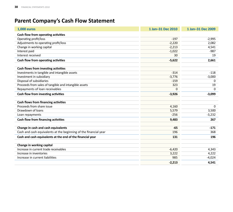# **Parent Company's Cash Flow Statement**

| <b>1,000 euros</b>                                               | 1 Jan-31 Dec 2010 | 1 Jan-31 Dec 2009 |
|------------------------------------------------------------------|-------------------|-------------------|
| Cash flow from operating activities                              |                   |                   |
| Operating profit/loss                                            | $-197$            | $-2,995$          |
| Adjustments to operating profit/loss                             | $-2,220$          | 2,082             |
| Change in working capital                                        | $-2,213$          | 4,541             |
| Interest paid                                                    | $-1,022$          | $-987$            |
| Interest received                                                | 30                | 19                |
| Cash flow from operating activities                              | $-5,622$          | 2,661             |
| Cash flows from investing activities                             |                   |                   |
| Investments in tangible and intangible assets                    | $-314$            | $-118$            |
| Investment in subsidiary                                         | $-3,776$          | $-3,000$          |
| Disposal of subsidiaries                                         | $-159$            | $\Omega$          |
| Proceeds from sales of tangible and intangible assets            | 323               | 19                |
| Repayments of loan receivables                                   | $\Omega$          | $\Omega$          |
| Cash flow from investing activities                              | $-3,926$          | $-3,099$          |
|                                                                  |                   |                   |
| Cash flows from financing activities                             |                   |                   |
| Proceeds from share issue                                        | 4,160             | $\Omega$          |
| Drawdown of loans                                                | 5,579             | 3,500             |
| Loan repayments                                                  | $-256$            | $-3,232$          |
| Cash flow from financing activities                              | 9,483             | 267               |
| Change in cash and cash equivalents                              | $-65$             | $-171$            |
| Cash and cash equivalents at the beginning of the financial year | 196               | 368               |
|                                                                  |                   |                   |
| Cash and cash equivalents at the end of the financial year       | 131               | 196               |
| Change in working capital                                        |                   |                   |
| Increase in current trade receivables                            | $-6,420$          | 4,343             |
| Increase in inventories                                          | 3,222             | 4,222             |
| Increase in current liabilities                                  | 985               | $-4,024$          |
|                                                                  | $-2,213$          | 4.541             |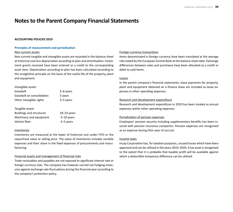# **Notes to the Parent Company Financial Statements**

#### **ACCOUNTING POLICIES 2010**

#### **Principles of measurement and periodisati on**

#### Non-current assets

Non-current tangible and intangible assets are recorded in the balance sheet at historical cost less depreciation according to plan and amortisation. Investment grants received have been entered as a credit to the corresponding asset item. Depreciation according to plan has been calculated according to the straightline principle on the basis of the useful life of the property, plant and equipment.

| Intangible assets                                                             |                                 |
|-------------------------------------------------------------------------------|---------------------------------|
| Goodwill                                                                      | 5–6 years                       |
| Goodwill on consolidation                                                     | 5 years                         |
| Other intangible rights                                                       | 3–5 years                       |
| Tangible assets<br><b>Buildings and structures</b><br>Machinery and equipment | $18 - 24$ years<br>$3-10$ years |
| Vehicle fleet                                                                 | 3–5 years                       |

#### Inventories

Inventories are measured at the lower of historical cost under FIFO or the repurchase value or selling price. The value of inventories includes variable expenses and their share in the fixed expenses of procurements and manufacturing.

## Financial assets and management of financial risks

Trade receivables and payables are not exposed to significant interest rate or foreign currency risks. The company has however carried out hedging measures against exchange rate fluctuations during the financial year according to the company's protection policy.

## Foreign currency transactions

Items denominated in foreign currency have been translated at the average rate stated by the European Central Bank at the balance sheet date. Exchange differences between sales and purchases have been allocated as a credit or debit to said items.

## Leases

In the parent company's financial statements, lease payments for property, plant and equipment obtained on a finance lease are included as lease expenses in other operating expenses.

#### Research and development expenditure

Research and development expenditure in 2010 has been treated as annual expenses within other operating expenses.

## Periodisation of pension expenses

Employees' pension security including supplementary benefits has been insured with pension insurance companies. Pension expenses are recognised as an expense during their year of accrual.

#### Income taxes

Incap Corporation has, for taxation purposes, unused losses which have been approved and can be utilised in the years 2010-2020. A tax asset is recognised to the extent that it is probable that taxable profit will be available against which a deductible temporary difference can be utilised.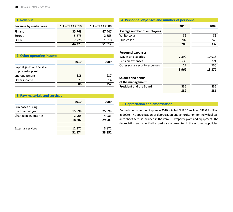| 1. Revenue             |                    |                    |
|------------------------|--------------------|--------------------|
| Revenue by market area | $1.1 - 31.12.2010$ | $1.1 - 31.12.2009$ |
| Finland                | 35,769             | 47,447             |
| Europe                 | 5,878              | 2,655              |
| Other                  | 2,726              | 1,810              |
|                        | 44,373             | 51,912             |

# **2. Other operating income**

|                                                 | 2010 | 2009 |
|-------------------------------------------------|------|------|
| Capital gains on the sale<br>of property, plant |      |      |
| and equipment                                   | 586  | 237  |
| Other income                                    | 20   | 14   |
|                                                 | 606  | 252  |

# **3. Raw materials and services**

|                          | 2010   | 2009   |
|--------------------------|--------|--------|
| Purchases during         |        |        |
| the financial year       | 15,894 | 25,899 |
| Change in inventories    | 2,908  | 4,083  |
|                          | 18,802 | 29,981 |
| <b>External services</b> | 12,372 | 3,871  |
|                          | 31,174 | 33,852 |

# **4. Personnel expenses and number of personnel 2010 2009**2009 **Average number of employees**  White-collar 81 89 Blue-collar 202 248 **283** 337 **283 Personnel expenses**  Wages and salaries and salaries 10,918 Pension expenses and the set of the 1,536 and 1,724 Other social security expenses 27 735 **8,962** 13,377 **Salaries and bonus of the management**  President and the Board 332 331  **332 331**

# **5. Depreciati on and amorti sati on**

Depreciation according to plan in 2010 totalled EUR 0.7 million (EUR 0.8 million in 2009). The specification of depreciation and amortisation for individual balance sheet items is included in the item 11. Property, plant and equipment. The depreciation and amortisation periods are presented in the accounting policies.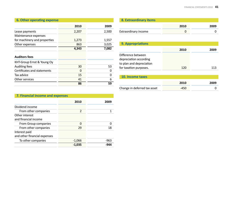# **6. Other operating expense**

|                              | 2010  | 2009  |
|------------------------------|-------|-------|
| Lease payments               | 2,207 | 2,500 |
| Maintenance expenses         |       |       |
| for machinery and properties | 1,273 | 1,557 |
| Other expenses               | 863   | 3,025 |
|                              | 4,343 | 7,082 |
| <b>Auditors fees</b>         |       |       |
| KHT-Group Ernst & Young Oy   |       |       |
| Auditing fees                | 30    | 53    |

Certifi cates and statements 0 0

**1990 - 1990 - 1990 - 1990 - 1990 - 1990 - 1990 - 1990 - 1990 - 1990 - 1990 - 1990 - 1990 - 1990 - 1990 - 1990** 

 $\overline{0}$ 

 $\overline{6}$ 

| 8. Extraordinary items |      |      |
|------------------------|------|------|
|                        | 2010 | 2009 |
| Extraordinary income   |      |      |

| <b>9. Appropriations</b>     |      |      |
|------------------------------|------|------|
|                              | 2010 | 2009 |
| Difference between           |      |      |
| depreciation according       |      |      |
| to plan and depreciation     |      |      |
| for taxation purposes.       | 120  | 113  |
|                              |      |      |
| 10. Income taxes             |      |      |
|                              | 2010 | 2009 |
| Change in deferred tax asset | -450 |      |

# **7. Financial income and expenses**

Tax advice 15

Other services 41

|                                               | 2010          | 2009 |
|-----------------------------------------------|---------------|------|
| Dividend income                               |               |      |
| From other companies                          | $\mathcal{P}$ |      |
| Other interest<br>and financial income        |               |      |
| From Group companies                          | O             |      |
| From other companies                          | 29            | 18   |
| Interest paid<br>and other financial expenses |               |      |
| To other companies                            | $-1,066$      | -963 |
|                                               | $-1.035$      |      |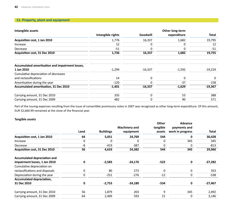# **11. Property, plant and equipment**

| Intangible assets                               |                   |           | Other long-term |           |
|-------------------------------------------------|-------------------|-----------|-----------------|-----------|
|                                                 | Intangible rights | Goodwill  | expenditure     | Total     |
| Acquisition cost, 1 Jan 2010                    | 1,776             | 16,337    | 1,682           | 19,795    |
| Increase                                        | 12                | 0         | 0               | 12        |
| Decrease                                        | $-51$             | 0         | 0               | $-51$     |
| Acquisition cost, 31 Dec 2010                   | 1,736             | 16,337    | 1,682           | 19,755    |
| Accumulated amortisation and impairment losses, |                   |           |                 |           |
| 1 Jan 2010                                      | $-1,294$          | $-16,337$ | $-1,592$        | $-19,224$ |
| Cumulative depreciation of decreases            |                   |           |                 |           |
| and reclassifications                           | 14                | 0         | 0               | $\Omega$  |
| Amortisation during the year                    | $-120$            | $\Omega$  | $-37$           | $-158$    |
| Accumulated amortisation, 31 Dec 2010           | $-1,401$          | $-16,337$ | $-1,629$        | $-19,367$ |
| Carrying amount, 31 Dec 2010                    | 335               | 0         | 53              | 388       |
| Carrying amount, 31 Dec 2009                    | 482               | 0         | 90              | 571       |

Part of the issuing expenses resulting from the issue of convertible promissory notes in 2007 was recognised as other long-term expenditure. Of this amount, EUR 52,660.99 remained at the close of the financial year.

# **Tangible assets**

|                                     | Land | <b>Buildings</b> | <b>Machinery and</b><br>equipment | Other<br>tangible<br>assets | Advance<br>payments and<br>work in progress | Total     |
|-------------------------------------|------|------------------|-----------------------------------|-----------------------------|---------------------------------------------|-----------|
| Acquisition cost, 1 Jan 2010        | 64   | 5,051            | 24,769                            | 544                         | O                                           | 30,428    |
| Increase                            | 0    | 0                | 0                                 | 0                           | 345                                         | 345       |
| Decrease                            | -8   | $-419$           | $-387$                            |                             |                                             | $-813$    |
| Acquisition cost, 31 Dec 2010       | 56   | 4,633            | 24,382                            | 544                         | 345                                         | 29,960    |
| <b>Accumulated depreciation and</b> |      |                  |                                   |                             |                                             |           |
| impairment losses, 1 Jan 2010       | 0    | $-2,583$         | $-24,176$                         | $-522$                      | 0                                           | $-27,282$ |
| Cumulative depreciation on          |      |                  |                                   |                             |                                             |           |
| reclassifications and disposals     | 0    | 80               | 273                               | 0                           | 0                                           | 353       |
| Depreciation during the year        | 0    | $-251$           | $-276$                            | $-12$                       | 0                                           | -538      |
| Accumulated depreciation,           |      |                  |                                   |                             |                                             |           |
| 31 Dec 2010                         | 0    | $-2,753$         | $-24,180$                         | -534                        | 0                                           | $-27,467$ |
| Carrying amount, 31 Dec 2010        | 56   | 1,879            | 203                               | 9                           | 345                                         | 2,492     |
| Carrying amount, 31 Dec 2009        | 64   | 2,469            | 593                               | 21                          | 0                                           | 3,146     |
|                                     |      |                  |                                   |                             |                                             |           |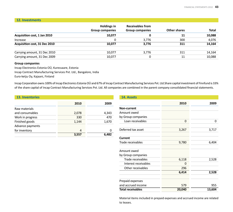#### **12. Investments**

|                                      | <b>Holdings in</b><br><b>Group companies</b> | <b>Receivables from</b><br><b>Group companies</b> | Other shares | <b>Total</b> |
|--------------------------------------|----------------------------------------------|---------------------------------------------------|--------------|--------------|
| Acquisition cost, 1 Jan 2010         | 10,077                                       | 0                                                 | 11           | 10,088       |
| Increase                             |                                              | 3.776                                             | 300          | 4,076        |
| <b>Acquisition cost, 31 Dec 2010</b> | 10.077                                       | 3,776                                             | 311          | 14,164       |
| Carrying amount, 31 Dec 2010         | 10.077                                       | 3.776                                             | 311          | 14,164       |
| Carrying amount, 31 Dec 2009         | 10.077                                       |                                                   | 11           | 10,088       |

# **Group companies**

Incap Electronics Estonia OÜ, Kuressaare, Estonia Incap Contract Manufacturing Services Pvt. Ltd., Bangalore, India Euro-ketju Oy, Kajaani, Finland

Incap Corporation owns 100% of Incap Electronics Estonia OÜ and 67% of Incap Contract Manufacturing Services Pvt. Ltd.Share capital investment of Finnfund is 33% of the share capital of Incap Contract Manufacturing Services Pvt. Ltd. All companies are combined in the parent company consolidated financial statements.

| <b>13. Inventories</b> |       |       |
|------------------------|-------|-------|
|                        | 2010  | 2009  |
| Raw materials          |       |       |
| and consumables        | 2,078 | 4,343 |
| Work in progress       | 330   | 470   |
| Finished goods         | 1,144 | 1,670 |
| Advance payments       |       |       |
| for inventory          | 4     | O     |
|                        | 3,557 | 6.482 |

| 14. Assets               |          |        |
|--------------------------|----------|--------|
|                          | 2010     | 2009   |
| <b>Non-current</b>       |          |        |
| Amount owed              |          |        |
| by Group companies       |          |        |
| Loan receivables         | $\Omega$ | 0      |
| Deferred tax asset       | 3,267    | 3,717  |
| Current                  |          |        |
| Trade receivables        | 9,780    | 6,404  |
| Amount owed              |          |        |
| by Group companies       |          |        |
| Trade receivables        | 6,118    | 2,528  |
| Interest receivables     | O        |        |
| Other receivables        | 296      |        |
|                          | 6,414    | 2,528  |
| Prepaid expenses         |          |        |
| and accrued income       | 579      | 955    |
| <b>Total receivables</b> | 20,040   | 13,604 |

Material items included in prepaid expenses and accrued income are related to leases.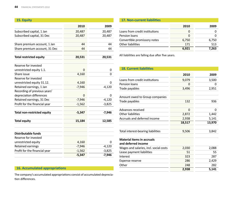| 15. Equity                         |          |          |
|------------------------------------|----------|----------|
|                                    |          |          |
|                                    | 2010     | 2009     |
| Subscribed capital, 1 Jan          | 20,487   | 20,487   |
| Subscribed capital, 31 Dec         | 20,487   | 20,487   |
|                                    |          |          |
| Share premium account, 1 Jan       | 44       | 44       |
| Share premium account, 31 Dec      | 44       | 44       |
| <b>Total restricted equity</b>     | 20,531   | 20,531   |
|                                    |          |          |
| Reserve for invested               |          |          |
| unrestricted equity 1.1.           | 0        | 0        |
| Share issue                        | 4,160    | 0        |
| Reserve for invested               |          |          |
| unrestricted equity 31.12.         | 4,160    | O        |
| Retained earnings, 1 Jan           | $-7,946$ | $-4,120$ |
| Recording of previous years'       |          |          |
| depreciation differences           | 0        | 0        |
| Retained earnings, 31 Dec          | $-7,946$ | $-4,120$ |
| Profit for the financial year      | $-1,562$ | $-3,825$ |
| <b>Total non-restricted equity</b> | $-5,347$ | $-7,946$ |
| <b>Total equity</b>                | 15,184   | 12,585   |
| <b>Distributable funds</b>         |          |          |
| Reserve for invested               |          |          |
| unrestricted equity                | 4,160    | Ω        |
| Retained earnings                  | $-7,946$ | $-4,120$ |
| Profit for the financial year      | $-1,562$ | $-3,825$ |
|                                    | $-5,347$ | -7,946   |

# **16. Accumulated appropriati ons**

The company's accumulated appropriations consist of accumulated depreciation differences.

## **17. Non-current liabiliti es**

|                                | 2010  | 2009  |
|--------------------------------|-------|-------|
| Loans from credit institutions |       |       |
| Pension loans                  |       |       |
| Convertible promissory notes   | 6,750 | 6,750 |
| Other liabilities              | 171   | 513   |
|                                | 6.921 | 7.263 |

All liabilities are falling due after five years.

| <b>18. Current liabilities</b>                           |        |        |
|----------------------------------------------------------|--------|--------|
|                                                          | 2010   | 2009   |
| Loans from credit institutions                           | 9,079  | 3,500  |
| Pension loans                                            | 0      | 0      |
| Trade payables                                           | 3,496  | 2,951  |
| Amount owed to Group companies                           |        |        |
| Trade payables                                           | 132    | 936    |
| Advances received                                        | 0      | 0      |
| Other liabilities                                        | 2,872  | 1,442  |
| Accruals and deferred income                             | 2,938  | 5,141  |
|                                                          | 18,517 | 13,970 |
| Total interest-bearing liabilities                       | 9,506  | 3,842  |
| <b>Material items in accruals</b><br>and deferred income |        |        |
| Wages and salaries, incl. social costs                   | 2,030  | 2,088  |
| Lease payment liabilities                                | 51     | 55     |
| Interest                                                 | 323    | 287    |
| Expense reserve                                          | 286    | 2,429  |
| Other                                                    | 248    | 282    |
|                                                          | 2,938  | 5,141  |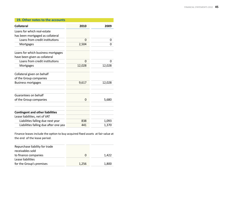| 19. Other notes to the accounts         |          |        |  |  |
|-----------------------------------------|----------|--------|--|--|
| <b>Collateral</b>                       | 2010     | 2009   |  |  |
| Loans for which real-estate             |          |        |  |  |
| has been mortgaged as collateral        |          |        |  |  |
| Loans from credit institutions          | $\Omega$ | 0      |  |  |
| Mortgages                               | 2,504    | 0      |  |  |
| Loans for which business mortgages      |          |        |  |  |
| have been given as collateral           |          |        |  |  |
| Loans from credit institutions          | $\Omega$ | 0      |  |  |
| Mortgages                               | 12,028   | 12,028 |  |  |
| Collateral given on behalf              |          |        |  |  |
| of the Group companies                  |          |        |  |  |
| <b>Business mortgages</b>               | 9,617    | 12,028 |  |  |
| Guarantees on behalf                    |          |        |  |  |
| of the Group companies                  | 0        | 5,680  |  |  |
| <b>Contingent and other liabilities</b> |          |        |  |  |
| Lease liabilities, net of VAT           |          |        |  |  |
| Liabilities falling due next year       | 838      | 1,093  |  |  |
| Liabilities falling due after one yea   | 441      | 1.370  |  |  |

Finance leases include the option to buy acquired fixed assets at fair value at the end of the lease period.

| Repurchase liability for trade<br>receivables sold |       |       |
|----------------------------------------------------|-------|-------|
| to finance companies                               | 0     | 1.422 |
| Lease liabilities                                  |       |       |
| for the Group's premises                           | 1,256 | 1,800 |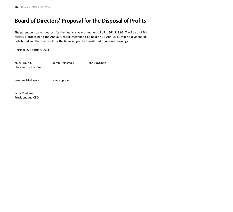# **Board of Directors' Proposal for the Disposal of Profits**

The parent company's net loss for the financial year amounts to EUR 1,561,513.95. The Board of Directors is proposing to the Annual General Meeting to be held on 13 April 2011 that no dividend be distributed and that the result for the financial year be transferred to retained earnings.

Helsinki, 22 February 2011

| Kalevi Laurila<br>Chairman of the Board | Raimo Helasmäki | Kari Häyrinen |
|-----------------------------------------|-----------------|---------------|
| Susanna Miekk-oja                       | Lassi Noponen   |               |
| Compi Muldesman                         |                 |               |

Sami Mykkänen President and CEO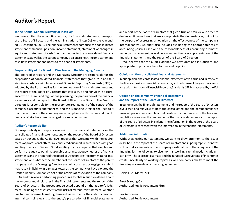# **Auditor's Report**

#### **To the Annual General Meeting of Incap Oyj**

We have audited the accounting records, the financial statements, the report of the Board of Directors, and the administration of Incap Oyj for the year ended 31 December, 2010. The financial statements comprise the consolidated statement of financial position, income statement, statement of changes in equity and statement of cash flows, and notes to the consolidated financial statements, as well as the parent company's balance sheet, income statement, cash flow statement and notes to the financial statements.

#### **Responsibility of the Board of Directors and the Managing Director**

The Board of Directors and the Managing Director are responsible for the preparation of consolidated financial statements that give a true and fair view in accordance with International Financial Reporting Standards (IFRS) as adopted by the EU, as well as for the preparation of financial statements and the report of the Board of Directors that give a true and fair view in accordance with the laws and regulations governing the preparation of the financial statements and the report of the Board of Directors in Finland. The Board of Directors is responsible for the appropriate arrangement of the control of the company's accounts and finances, and the Managing Director shall see to it that the accounts of the company are in compliance with the law and that its financial affairs have been arranged in a reliable manner.

#### **Auditor's Responsibility**

Our responsibility is to express an opinion on the financial statements, on the consolidated financial statements and on the report of the Board of Directors based on our audit. The Auditing Act requires that we comply with the requirements of professional ethics. We conducted our audit in accordance with good auditing practice in Finland. Good auditing practice requires that we plan and perform the audit to obtain reasonable assurance about whether the financial statements and the report of the Board of Directors are free from material misstatement, and whether the members of the Board of Directors of the parent company and the Managing Director are guilty of an act or negligence which may result in liability in damages towards the company or have violated the Limited Liability Companies Act or the articles of association of the company.

An audit involves performing procedures to obtain audit evidence about the amounts and disclosures in the financial statements and the report of the Board of Directors. The procedures selected depend on the auditor's judgment, including the assessment of the risks of material misstatement, whether due to fraud or error. In making those risk assessments, the auditor considers internal control relevant to the entity's preparation of financial statements and report of the Board of Directors that give a true and fair view in order to design audit procedures that are appropriate in the circumstances, but not for the purpose of expressing an opinion on the effectiveness of the company's internal control. An audit also includes evaluating the appropriateness of accounting policies used and the reasonableness of accounting estimates made by management, as well as evaluating the overall presentation of the financial statements and the report of the Board of Directors.

We believe that the audit evidence we have obtained is sufficient and appropriate to provide a basis for our audit opinion.

#### **Opinion on the consolidated financial statements**

In our opinion, the consolidated financial statements give a true and fair view of the financial position, financial performance, and cash flows of the group in accordance with International Financial Reporting Standards (IFRS) as adopted by the EU.

# **Opinion on the company's financial statements and the report of the Board of Directors**

In our opinion, the financial statements and the report of the Board of Directors give a true and fair view of both the consolidated and the parent company's financial performance and financial position in accordance with the laws and regulations governing the preparation of the financial statements and the report of the Board of Directors in Finland. The information in the report of the Board of Directors is consistent with the information in the financial statements.

## **Additi onal informati on**

Without adjusting our statement, we want to draw attention to the issues described in the report of the Board of Directors and in paragraph 26 of notes to financial statements of that company's estimation of the adequacy of the financing for the following twelve months' working capital needs include uncertainty. The set result estimate and the targeted turnover rate of inventories create uncertainty to working capital as well company's ability to meet the financing covenants of a financing agreement.

Helsinki, 23 March 2011

Ernst & Young Oy Authorized Public Accountant Firm

Jari Karppinen Authorized Public Accountant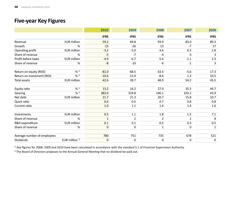# **Five-year Key Figures**

|                             |                           | 2010         | 2009             | 2008           | 2007        | 2006         |
|-----------------------------|---------------------------|--------------|------------------|----------------|-------------|--------------|
|                             |                           | <b>IFRS</b>  | <b>IFRS</b>      | <b>IFRS</b>    | <b>IFRS</b> | <b>IFRS</b>  |
| Revenue                     | <b>EUR</b> million        | 59.2         | 69.8             | 93.9           | 83.0        | 89.3         |
| Growth                      | %                         | $-15$        | $-26$            | 13             | $-7$        | 17           |
| Operating profit            | <b>EUR</b> million        | $-3.2$       | $-5.0$           | $-3.6$         | 0.3         | 2.8          |
| Share of revenue            | %                         | $-5$         | $-7$             | $-4$           | $\mathbf 0$ | 3            |
| Profit before taxes         | <b>EUR</b> million        | $-4.9$       | $-6.7$           | $-5.4$         | $-1.1$      | 2.3          |
| Share of revenue            | %                         | $-8$         | $-10$            | -6             | $-1$        | 3            |
| Return on equity (ROE)      | % 1)                      | $-81.0$      | $-68.5$          | $-33.4$        | $-5.6$      | 17.3         |
| Return on investment (ROI)  | % 1)                      | $-10.6$      | $-15.9$          | $-8.6$         | 1.3         | 10.5         |
| <b>Total assets</b>         | <b>EUR million</b>        | 42.6         | 39.7             | 48.9           | 54.2        | 45.5         |
| Equity ratio                | % 1)                      | 13.2         | 16.2             | 27.0           | 35.3        | 44.7         |
| Gearing                     | % 1)                      | 383.0        | 319.8            | 146.1          | 103.2       | 43.9         |
| Net debt                    | <b>EUR</b> million        | 21.7         | 21.3             | 20.7           | 15.8        | 10.7         |
| Quick ratio                 |                           | 0.6          | 0.5              | 0.7            | 0.8         | 0.8          |
| Current ratio               |                           | 1.0          | $1.1\,$          | $1.4\,$        | 1.4         | 1.6          |
| Investments                 | <b>EUR</b> million        | 0.5          | $1.1\,$          | $1.8\,$        | $1.5\,$     | 7.1          |
| Share of revenue            | %                         | $\mathbf{1}$ | $\overline{2}$   | $\overline{2}$ | 2           | 8            |
| R&D expenditure             | <b>EUR</b> million        | 0.1          | 0.1              | 0.5            | 0.3         | 0.5          |
| Share of revenue            | %                         | $\pmb{0}$    | $\boldsymbol{0}$ | $\mathbf 1$    | $\mathbf 0$ | $\mathbf{1}$ |
| Average number of employees |                           | 780          | 751              | 735            | 678         | 521          |
| <b>Dividends</b>            | EUR million <sup>2)</sup> | 0            | 0                | 0              | 0           | 0            |

 $1)$  Key figures for 2008, 2009 and 2010 have been calculated in accordance with the standard 5.1 of Financial Supervision Authority.

 $2)$  The Board of Directors proposes to the Annual General Meeting that no dividend be paid out.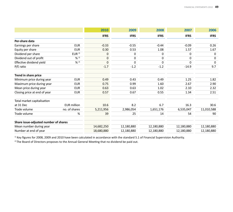|                                       |                    | 2010        | 2009        | 2008        | 2007        | 2006        |
|---------------------------------------|--------------------|-------------|-------------|-------------|-------------|-------------|
|                                       |                    | <b>IFRS</b> | <b>IFRS</b> | <b>IFRS</b> | <b>IFRS</b> | <b>IFRS</b> |
| Per-share data                        |                    |             |             |             |             |             |
| Earnings per share                    | <b>EUR</b>         | $-0.33$     | $-0.55$     | $-0.44$     | $-0.09$     | 0.26        |
| Equity per share                      | <b>EUR</b>         | 0.30        | 0.53        | 1.08        | 1.57        | 1.67        |
| Dividend per share                    | EUR <sup>2</sup>   | $\pmb{0}$   | 0           | 0           | 0           | 0           |
| Dividend out of profit                | $% ^{2}$           | 0           | 0           | $\pmb{0}$   | $\mathbf 0$ | $\Omega$    |
| Effective dividend yield              | % 2)               | $\mathbf 0$ | $\mathbf 0$ | $\Omega$    | $\Omega$    | $\Omega$    |
| P/E ratio                             |                    | $-1.7$      | $-1.2$      | $-1.2$      | $-14.9$     | 9.7         |
| Trend in share price                  |                    |             |             |             |             |             |
| Minimum price during year             | <b>EUR</b>         | 0.49        | 0.43        | 0.49        | 1.25        | 1.82        |
| Maximum price during year             | <b>EUR</b>         | 0.75        | 0.99        | 1.60        | 2.67        | 2.90        |
| Mean price during year                | <b>EUR</b>         | 0.63        | 0.63        | 1.02        | 2.10        | 2.32        |
| Closing price at end of year          | <b>EUR</b>         | 0.57        | 0.67        | 0.55        | 1.34        | 2.51        |
| Total market capitalisation           |                    |             |             |             |             |             |
| at 31 Dec                             | <b>EUR</b> million | 10.6        | 8.2         | 6.7         | 16.3        | 30.6        |
| Trade volume                          | no. of shares      | 5,211,956   | 2,986,054   | 1,651,176   | 6,535,047   | 11,010,588  |
| Trade volume                          | %                  | 39          | 25          | 14          | 54          | 90          |
| Share issue-adjusted number of shares |                    |             |             |             |             |             |
| Mean number during year               |                    | 14,682,250  | 12,180,880  | 12,180,880  | 12,180,880  | 12,180,880  |
| Number at end of year                 |                    | 18,680,880  | 12,180,880  | 12,180,880  | 12,180,880  | 12,180,880  |

 $1)$  Key figures for 2008, 2009 and 2010 have been calculated in accordance with the standard 5.1 of Financial Supervision Authority.

<sup>2)</sup> The Board of Directors proposes to the Annual General Meeting that no dividend be paid out.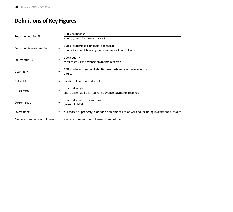# **Definitions of Key Figures**

|                             |     | 100 x profit/loss                                                                                            |
|-----------------------------|-----|--------------------------------------------------------------------------------------------------------------|
| Return on equity, %         |     | equity (mean for financial year)                                                                             |
| Return on investment, %     | $=$ | $100 \times$ (profit/loss + financial expenses)<br>equity + interest-bearing loans (mean for financial year) |
| Equity ratio, %             | $=$ | 100 x equity<br>total assets less advance payments received                                                  |
| Gearing, %                  | $=$ | 100 x (interest-bearing liabilities less cash and cash equivalents)<br>equity                                |
| Net debt                    |     | liabilities less financial assets                                                                            |
| Quick ratio                 | $=$ | financial assets<br>short-term liabilities - current advance payments received                               |
| Current ratio               | $=$ | financial assets + inventories<br>current liabilities                                                        |
| Investments                 | $=$ | purchases of property, plant and equipment net of VAT and including investment subsidies                     |
| Average number of employees | $=$ | average number of employees at end of month                                                                  |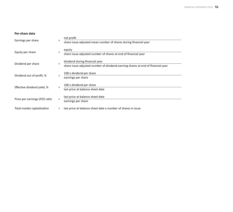#### **Per-share data**

| Earnings per share             | $=$ | net profit                                                                      |
|--------------------------------|-----|---------------------------------------------------------------------------------|
|                                |     | share issue-adjusted mean number of shares during financial year                |
| Equity per share               | $=$ | equity<br>share issue-adjusted number of shares at end of financial year        |
|                                |     | dividend during financial year                                                  |
| Dividend per share             | $=$ | share issue-adjusted number of dividend-earning shares at end of financial year |
| Dividend out of profit, %      | $=$ | 100 x dividend per share<br>earnings per share                                  |
|                                |     | 100 x dividend per share                                                        |
| Effective dividend yield, %    | $=$ | last price at balance sheet date                                                |
| Price per earnings (P/E) ratio | $=$ | last price at balance sheet date<br>earnings per share                          |
| Total market capitalisation    | $=$ | last price at balance sheet date x number of shares in issue                    |